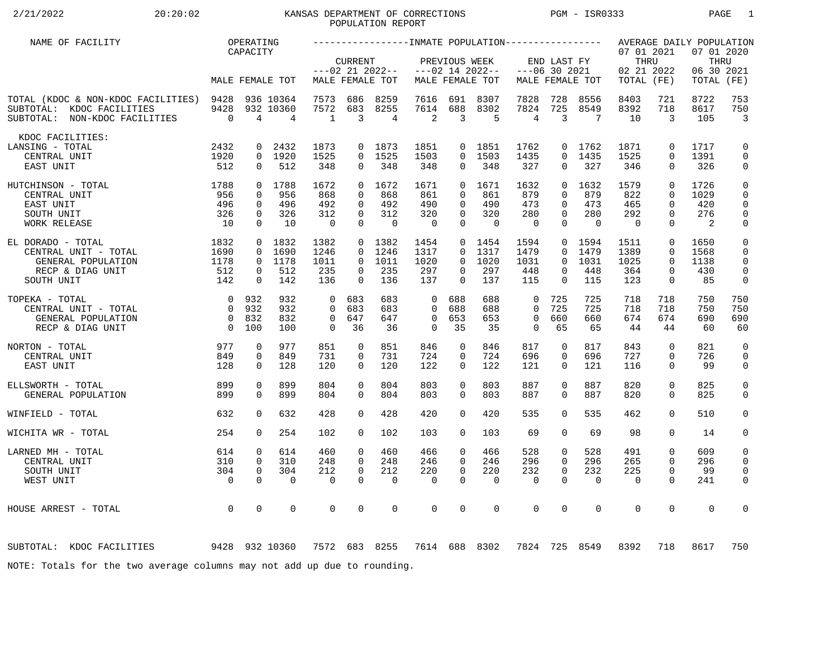## 2/21/2022 20:20:02 KANSAS DEPARTMENT OF CORRECTIONS PGM - ISR0333 PAGE 1POPULATION REPORT

| NAME OF FACILITY                                                                                      |                        | OPERATING         |                             |                   |                 |                                |                   |                         |                    |                   |                 |                   |                                  |                 | AVERAGE DAILY POPULATION         |                              |
|-------------------------------------------------------------------------------------------------------|------------------------|-------------------|-----------------------------|-------------------|-----------------|--------------------------------|-------------------|-------------------------|--------------------|-------------------|-----------------|-------------------|----------------------------------|-----------------|----------------------------------|------------------------------|
|                                                                                                       |                        | CAPACITY          |                             |                   | <b>CURRENT</b>  | $---02$ 21 2022--              |                   | PREVIOUS WEEK           | $---02$ 14 2022--  | $---06$ 30 2021   | END LAST FY     |                   | 07 01 2021<br>THRU<br>02 21 2022 |                 | 07 01 2020<br>THRU<br>06 30 2021 |                              |
|                                                                                                       |                        |                   | MALE FEMALE TOT             |                   |                 | MALE FEMALE TOT                |                   |                         | MALE FEMALE TOT    |                   |                 | MALE FEMALE TOT   | TOTAL (FE)                       |                 | TOTAL                            | (FE)                         |
| TOTAL (KDOC & NON-KDOC FACILITIES) 9428<br>SUBTOTAL: KDOC FACILITIES<br>SUBTOTAL: NON-KDOC FACILITIES | 9428<br>$\overline{0}$ | $\overline{4}$    | 936 10364<br>932 10360<br>4 | 7573<br>7572<br>1 | 686<br>683<br>3 | 8259<br>8255<br>$\overline{4}$ | 7616<br>7614<br>2 | 691<br>688<br>3         | 8307<br>8302<br>-5 | 7828<br>7824<br>4 | 728<br>725<br>3 | 8556<br>8549<br>7 | 8403<br>8392<br>10               | 721<br>718<br>3 | 8722<br>8617<br>105              | 753<br>750<br>$\overline{3}$ |
| KDOC FACILITIES:                                                                                      |                        |                   |                             |                   |                 |                                |                   |                         |                    |                   |                 |                   |                                  |                 |                                  |                              |
| LANSING - TOTAL                                                                                       | 2432                   | $\mathbf{0}$      | 2432                        | 1873              |                 | 0 1873                         | 1851              |                         | 0 1851             | 1762              |                 | 0 1762            | 1871                             | $\mathbf 0$     | 1717                             | $\mathbf 0$                  |
| CENTRAL UNIT                                                                                          | 1920                   |                   | 0 1920                      | 1525              |                 | $0$ 1525                       | 1503              | $\Omega$                | 1503               | 1435              | $\Omega$        | 1435              | 1525                             | $\Omega$        | 1391                             | $\mathbf 0$                  |
| EAST UNIT                                                                                             | 512                    | $\mathbf{0}$      | 512                         | 348               | 0               | 348                            | 348               | $\overline{0}$          | 348                | 327               | 0               | 327               | 346                              | $\mathbf{0}$    | 326                              | 0                            |
| 1788<br>HUTCHINSON - TOTAL                                                                            |                        |                   | 0 1788                      | 1672              |                 | 0, 1672                        | 1671              |                         | 0, 1671            | 1632              | $\Omega$        | 1632              | 1579                             | $\Omega$        | 1726                             | $\mathsf 0$                  |
| CENTRAL UNIT                                                                                          | 956                    | $\Omega$          | 956                         | 868               | $\Omega$        | 868                            | 861               | $\Omega$                | 861                | 879               | $\Omega$        | 879               | 822                              | $\Omega$        | 1029                             | $\mathbf 0$                  |
| EAST UNIT                                                                                             | 496                    | $\mathbf 0$       | 496                         | 492               | $\Omega$        | 492                            | 490               | $\Omega$                | 490                | 473               | $\Omega$        | 473               | 465                              | $\Omega$        | 420                              | $\mathbf 0$                  |
| SOUTH UNIT                                                                                            | 326                    | $\mathbf{0}$      | 326                         | 312               | $\Omega$        | 312                            | 320               | $\overline{0}$          | 320                | 280               | $\Omega$        | 280               | 292                              | $\mathbf 0$     | 276                              | $\mathbf 0$                  |
| WORK RELEASE                                                                                          | 10                     | $\Omega$          | 10                          | $\overline{0}$    | $\Omega$        | $\Omega$                       | $\overline{0}$    | $\Omega$                | $\Omega$           | $\Omega$          | $\Omega$        | $\bigcap$         | $\overline{0}$                   | $\Omega$        | $\overline{2}$                   | 0                            |
| EL DORADO - TOTAL                                                                                     | 1832                   |                   | $0$ 1832                    | 1382              |                 | 0 1382                         | 1454              |                         | $0$ 1454           | 1594              |                 | 0 1594            | 1511                             | $\mathbf 0$     | 1650                             | $\mathbf 0$                  |
| CENTRAL UNIT - TOTAL                                                                                  | 1690                   | $\Omega$          | 1690                        | 1246              |                 | 0, 1246                        | 1317              |                         | $0$ 1317           | 1479              | $\Omega$        | 1479              | 1389                             | $\Omega$        | 1568                             | $\mathbf 0$                  |
| GENERAL POPULATION                                                                                    | 1178                   |                   | 0 1178                      | 1011              | $\Omega$        | 1011                           | 1020              | $\Omega$                | 1020               | 1031              | $\Omega$        | 1031              | 1025                             | $\Omega$        | 1138                             | $\Omega$                     |
| RECP & DIAG UNIT                                                                                      | 512                    | $\mathbf{0}$      | 512                         | 235               | $\Omega$        | 235                            | 297               | $\Omega$                | 297                | 448               | 0               | 448               | 364                              | $\mathbf 0$     | 430                              | $\mathbf 0$                  |
| SOUTH UNIT                                                                                            | 142                    | $\mathbf 0$       | 142                         | 136               | $\Omega$        | 136                            | 137               | $\Omega$                | 137                | 115               | $\Omega$        | 115               | 123                              | $\mathbf 0$     | 85                               | 0                            |
|                                                                                                       |                        | 0 932             | 932                         | $\overline{0}$    | 683             | 683                            | $\mathbf 0$       | 688                     | 688                | $\mathbf 0$       | 725             | 725               | 718                              | 718             | 750                              | 750                          |
| TOPEKA - TOTAL<br>CENTRAL UNIT - TOTAL                                                                | $\overline{0}$         | 932               | 932                         | $\Omega$          | 683             | 683                            | $\Omega$          | 688                     | 688                | $\Omega$          | 725             | 725               | 718                              | 718             | 750                              | 750                          |
| GENERAL POPULATION                                                                                    |                        | 0 832             | 832                         | $\mathbf 0$       | 647             | 647                            | $\mathbf 0$       | 653                     | 653                | $\mathbf 0$       | 660             | 660               | 674                              | 674             | 690                              | 690                          |
| RECP & DIAG UNIT                                                                                      | $\overline{0}$         | 100               | 100                         | $\Omega$          | 36              | 36                             | $\Omega$          | 35                      | 35                 | $\Omega$          | 65              | 65                | 44                               | 44              | 60                               | 60                           |
|                                                                                                       |                        |                   |                             |                   |                 |                                |                   |                         |                    |                   |                 |                   |                                  |                 |                                  |                              |
| 977<br>NORTON - TOTAL                                                                                 |                        | 0                 | 977                         | 851               | $\mathbf 0$     | 851                            | 846               | 0                       | 846                | 817               | 0               | 817               | 843                              | $\mathbf 0$     | 821                              | $\mathbf 0$                  |
| CENTRAL UNIT                                                                                          | 849                    | 0                 | 849                         | 731               | 0               | 731                            | 724               | 0                       | 724                | 696               | 0               | 696               | 727                              | $\mathbf 0$     | 726                              | $\mathbf 0$                  |
| EAST UNIT                                                                                             | 128                    | $\Omega$          | 128                         | 120               | $\Omega$        | 120                            | 122               | $\Omega$                | 122                | 121               | $\Omega$        | 121               | 116                              | $\Omega$        | 99                               | 0                            |
| ELLSWORTH - TOTAL                                                                                     | 899                    | 0                 | 899                         | 804               | $\Omega$        | 804                            | 803               | $\Omega$                | 803                | 887               | $\Omega$        | 887               | 820                              | $\mathbf 0$     | 825                              | $\mathsf{O}$                 |
| GENERAL POPULATION                                                                                    | 899                    | $\Omega$          | 899                         | 804               | $\Omega$        | 804                            | 803               | $\Omega$                | 803                | 887               | $\Omega$        | 887               | 820                              | $\Omega$        | 825                              | $\mathbf 0$                  |
|                                                                                                       |                        |                   |                             |                   |                 |                                |                   |                         |                    |                   |                 |                   |                                  |                 |                                  |                              |
| WINFIELD - TOTAL                                                                                      | 632                    | $\Omega$          | 632                         | 428               | $\Omega$        | 428                            | 420               | $\Omega$                | 420                | 535               | $\Omega$        | 535               | 462                              | $\Omega$        | 510                              | $\mathbf 0$                  |
| WICHITA WR - TOTAL                                                                                    | 254                    | $\Omega$          | 254                         | 102               | $\Omega$        | 102                            | 103               | $\Omega$                | 103                | 69                | 0               | 69                | 98                               | $\Omega$        | 14                               | 0                            |
|                                                                                                       |                        |                   | 614                         | 460               | $\mathbf 0$     | 460                            | 466               |                         | 466                |                   |                 | 528               | 491                              | $\mathbf 0$     | 609                              |                              |
| LARNED MH - TOTAL<br>CENTRAL UNIT                                                                     | 614<br>310             | 0<br>$\mathbf{0}$ | 310                         | 248               | $\Omega$        | 248                            | 246               | $\mathbf 0$<br>$\Omega$ | 246                | 528<br>296        | 0<br>$\Omega$   | 296               | 265                              | $\Omega$        | 296                              | 0<br>0                       |
| SOUTH UNIT                                                                                            | 304                    | $\mathbf 0$       | 304                         | 212               | $\mathbf 0$     | 212                            | 220               | $\mathbf 0$             | 220                | 232               | $\mathbf 0$     | 232               | 225                              | $\mathbf 0$     | 99                               | $\mathbf 0$                  |
| WEST UNIT                                                                                             | $\overline{0}$         | $\Omega$          | $\Omega$                    | $\Omega$          | $\Omega$        | $\mathbf 0$                    | $\mathbf 0$       | $\Omega$                | $\Omega$           | $\mathbf 0$       | $\Omega$        | $\Omega$          | $\overline{0}$                   | $\Omega$        | 241                              | 0                            |
|                                                                                                       |                        |                   |                             |                   |                 |                                |                   |                         |                    |                   |                 |                   |                                  |                 |                                  |                              |
|                                                                                                       | $\overline{0}$         | $\mathbf 0$       | 0                           | $\mathbf 0$       | $\mathbf 0$     | $\mathbf 0$                    | $\mathbf 0$       | 0                       | $\mathbf 0$        | $\mathbf 0$       | 0               | $\mathbf 0$       | $\mathbf 0$                      | $\mathbf 0$     | $\mathbf 0$                      | 0                            |
| HOUSE ARREST - TOTAL                                                                                  |                        |                   |                             |                   |                 |                                |                   |                         |                    |                   |                 |                   |                                  |                 |                                  |                              |
|                                                                                                       |                        |                   |                             |                   |                 |                                |                   |                         |                    |                   |                 |                   |                                  |                 |                                  |                              |
| 9428 932 10360<br>SUBTOTAL: KDOC FACILITIES                                                           |                        |                   |                             | 7572 683 8255     |                 |                                |                   |                         | 7614 688 8302      |                   |                 | 7824 725 8549     | 8392                             | 718             | 8617                             | 750                          |
| NOTE: Totals for the two average columns may not add up due to rounding.                              |                        |                   |                             |                   |                 |                                |                   |                         |                    |                   |                 |                   |                                  |                 |                                  |                              |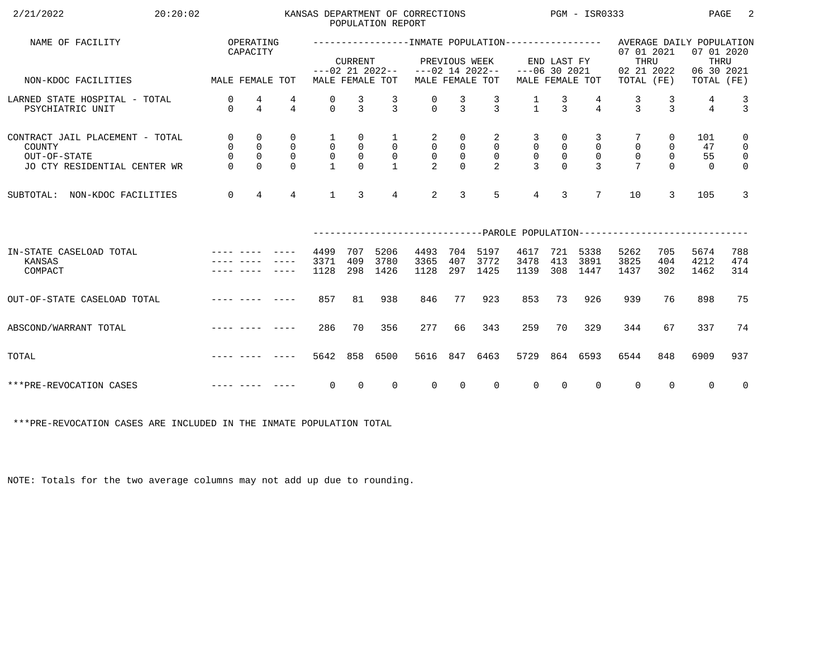| 2/21/2022<br>20:20:02                                                                     |                                              |                                              |                                             |                                     |                                                         | POPULATION REPORT                           | KANSAS DEPARTMENT OF CORRECTIONS    |                                           |                                                     |                                                          |                                                | PGM - ISR0333                                   |                            |                                             | PAGE                                           | 2                                                                        |
|-------------------------------------------------------------------------------------------|----------------------------------------------|----------------------------------------------|---------------------------------------------|-------------------------------------|---------------------------------------------------------|---------------------------------------------|-------------------------------------|-------------------------------------------|-----------------------------------------------------|----------------------------------------------------------|------------------------------------------------|-------------------------------------------------|----------------------------|---------------------------------------------|------------------------------------------------|--------------------------------------------------------------------------|
| NAME OF FACILITY                                                                          |                                              | OPERATING<br>CAPACITY                        |                                             |                                     | <b>CURRENT</b>                                          |                                             |                                     | PREVIOUS WEEK                             |                                                     |                                                          | END LAST FY                                    |                                                 | 07 01 2021<br>THRU         |                                             | AVERAGE DAILY POPULATION<br>07 01 2020<br>THRU |                                                                          |
| NON-KDOC FACILITIES                                                                       | MALE FEMALE TOT                              |                                              |                                             |                                     |                                                         | $---02$ 21 2022--<br>MALE FEMALE TOT        |                                     |                                           | $---02$ 14 2022--<br>MALE FEMALE TOT                | $---06$ 30 2021                                          |                                                | MALE FEMALE TOT                                 | 02 21 2022<br>TOTAL (FE)   |                                             | 06 30 2021<br>TOTAL (FE)                       |                                                                          |
| LARNED STATE HOSPITAL - TOTAL<br>PSYCHIATRIC UNIT                                         | $\mathbf 0$<br>$\Omega$                      | 4<br>$\overline{4}$                          | 4<br>$\overline{4}$                         | 0<br>$\Omega$                       | $\frac{3}{3}$                                           | $\mathcal{L}$                               | $\Omega$                            | 3<br>$\mathcal{E}$                        | $\frac{3}{3}$                                       | $\frac{1}{1}$                                            | $\frac{3}{3}$                                  | $\overline{4}$                                  | 3<br>$\mathbf{z}$          | 3<br>$\mathbf{z}$                           | 4<br>$\overline{4}$                            | $\frac{3}{3}$                                                            |
| CONTRACT JAIL PLACEMENT - TOTAL<br>COUNTY<br>OUT-OF-STATE<br>JO CTY RESIDENTIAL CENTER WR | $\mathsf{O}$<br>0<br>$\mathbf 0$<br>$\Omega$ | 0<br>$\mathsf{O}$<br>$\mathbf 0$<br>$\Omega$ | 0<br>$\mathbf 0$<br>$\mathbf 0$<br>$\Omega$ | 1<br>$\overline{0}$<br>$\mathsf{O}$ | $\mathbf 0$<br>$\mathsf{O}$<br>$\mathsf{O}$<br>$\Omega$ | $\mathbf{1}$<br>$\mathsf{O}$<br>$\mathbf 0$ | 2<br>$\overline{0}$<br>$\mathsf{O}$ | 0<br>0<br>$\mathsf{O}\xspace$<br>$\Omega$ | 2<br>$\mathsf{O}$<br>$\mathsf{O}$<br>$\overline{a}$ | 3<br>$\mathsf{O}$<br>$\mathsf{O}\xspace$<br>$\mathbf{3}$ | 0<br>$\overline{0}$<br>$\mathbb O$<br>$\Omega$ | 3<br>$\mathbf 0$<br>$\mathbf 0$<br>$\mathbf{3}$ | $\mathbf 0$<br>$\mathbf 0$ | 0<br>$\mathbf 0$<br>$\mathbf 0$<br>$\Omega$ | 101<br>47<br>55<br>$\Omega$                    | $\mathbf 0$<br>$\mathsf{O}$<br>$\overline{\mathbf{0}}$<br>$\overline{0}$ |
| NON-KDOC FACILITIES<br>SUBTOTAL:                                                          | $\mathbf 0$                                  | $\overline{4}$                               | $\overline{4}$                              | $\mathbf{1}$                        | $\mathbf{3}$                                            | $\overline{4}$                              | 2                                   | 3                                         | 5                                                   | $\overline{4}$                                           | 3                                              | $7\overline{ }$                                 | 10                         | 3                                           | 105                                            | 3                                                                        |
|                                                                                           |                                              |                                              |                                             |                                     |                                                         |                                             |                                     |                                           |                                                     |                                                          |                                                |                                                 |                            |                                             |                                                |                                                                          |
| IN-STATE CASELOAD TOTAL<br>KANSAS<br>COMPACT                                              |                                              |                                              |                                             | 4499<br>3371<br>1128                | 707<br>409<br>298                                       | 5206<br>3780<br>1426                        | 4493<br>3365<br>1128                | 704<br>407<br>297                         | 5197<br>3772<br>1425                                | 4617<br>3478<br>1139                                     | 721<br>413<br>308                              | 5338<br>3891<br>1447                            | 5262<br>3825<br>1437       | 705<br>404<br>302                           | 5674<br>4212<br>1462                           | 788<br>474<br>314                                                        |
| OUT-OF-STATE CASELOAD TOTAL                                                               |                                              |                                              | -----                                       | 857                                 | 81                                                      | 938                                         | 846                                 | 77                                        | 923                                                 | 853                                                      | 73                                             | 926                                             | 939                        | 76                                          | 898                                            | 75                                                                       |
| ABSCOND/WARRANT TOTAL                                                                     |                                              |                                              |                                             | 286                                 | 70                                                      | 356                                         | 277                                 | 66                                        | 343                                                 | 259                                                      | 70                                             | 329                                             | 344                        | 67                                          | 337                                            | 74                                                                       |
| TOTAL                                                                                     |                                              |                                              |                                             | 5642                                | 858                                                     | 6500                                        | 5616                                | 847                                       | 6463                                                | 5729                                                     |                                                | 864 6593                                        | 6544                       | 848                                         | 6909                                           | 937                                                                      |
| ***PRE-REVOCATION CASES                                                                   |                                              |                                              |                                             | 0                                   | $\Omega$                                                | $\Omega$                                    | $\Omega$                            | $\Omega$                                  | $\Omega$                                            | $\Omega$                                                 | $\Omega$                                       | $\Omega$                                        | $\mathbf 0$                | $\Omega$                                    | $\Omega$                                       | $\overline{0}$                                                           |

\*\*\*PRE-REVOCATION CASES ARE INCLUDED IN THE INMATE POPULATION TOTAL

NOTE: Totals for the two average columns may not add up due to rounding.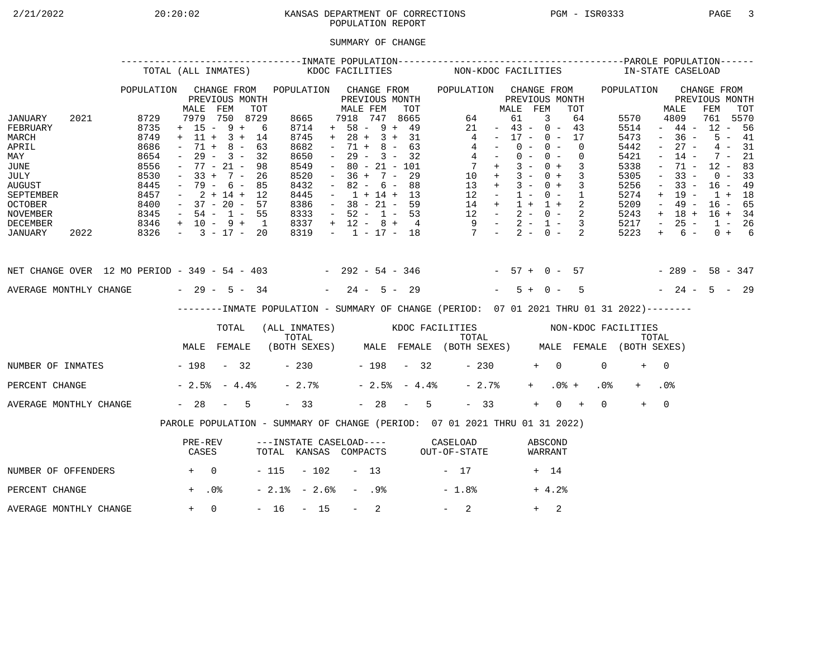# 2/21/2022 20:20:02 KANSAS DEPARTMENT OF CORRECTIONS PGM - ISR0333 PAGE 3POPULATION REPORT

### SUMMARY OF CHANGE

|                                                                                                                                        |      |                                                                                      | TOTAL (ALL INMATES)                                                                                                                                         |                                                 |     |                                                                                             | KDOC FACILITIES     |                                                                                                                                                                          |                  |                                                                    |     |                | NON-KDOC FACILITIES                                                                                                                            |                                                                                                 |                                  |                |            |                          |                            |                 | IN-STATE CASELOAD                                                                    |                                                                                                       |                                                                                                       |                                                                                       |                                              |  |
|----------------------------------------------------------------------------------------------------------------------------------------|------|--------------------------------------------------------------------------------------|-------------------------------------------------------------------------------------------------------------------------------------------------------------|-------------------------------------------------|-----|---------------------------------------------------------------------------------------------|---------------------|--------------------------------------------------------------------------------------------------------------------------------------------------------------------------|------------------|--------------------------------------------------------------------|-----|----------------|------------------------------------------------------------------------------------------------------------------------------------------------|-------------------------------------------------------------------------------------------------|----------------------------------|----------------|------------|--------------------------|----------------------------|-----------------|--------------------------------------------------------------------------------------|-------------------------------------------------------------------------------------------------------|-------------------------------------------------------------------------------------------------------|---------------------------------------------------------------------------------------|----------------------------------------------|--|
|                                                                                                                                        |      | POPULATION                                                                           | MALE                                                                                                                                                        | CHANGE FROM<br>PREVIOUS MONTH<br>FEM            | TOT | POPULATION CHANGE FROM                                                                      |                     | MALE FEM                                                                                                                                                                 |                  | PREVIOUS MONTH                                                     | TOT |                | POPULATION CHANGE FROM                                                                                                                         |                                                                                                 | MALE FEM                         | PREVIOUS MONTH |            |                          | TOT                        |                 | POPULATION                                                                           |                                                                                                       | MALE                                                                                                  | CHANGE FROM<br>PREVIOUS MONTH<br>FEM                                                  | TOT                                          |  |
| JANUARY<br>FEBRUARY<br>MARCH<br>APRIL<br>MAY<br>JUNE<br>JULY<br><b>AUGUST</b><br>SEPTEMBER<br><b>OCTOBER</b><br>NOVEMBER               | 2021 | 8729<br>8735<br>8749<br>8686<br>8654<br>8556<br>8530<br>8445<br>8457<br>8400<br>8345 | $+ 15 - 9 + 6$<br>$+ 11 + 3 + 14$<br>$\sim$<br>$ \,$<br>$-77 - 21 -$<br>$-33 + 7 - 26$<br>$-79 - 6 - 85$<br>$-2+14+12$<br>$-37 - 20 - 57$<br>$-54 - 1 - 55$ | 7979 750 8729<br>$71 + 8 - 63$<br>$29 - 3 - 32$ | 98  | 8665<br>8714<br>8745<br>8682<br>8650<br>8549<br>8520<br>8432<br>8445<br>8386<br>8333        |                     | 7918 747 8665<br>$+ 58 - 9 + 49$<br>$+ 28 + 3 + 31$<br>$\sim$<br>$\sim$ $-$<br>$\sim$<br>$-36 + 7 - 29$<br>$\sim$<br>$-1 + 14 + 13$<br>$-38 - 21 - 59$<br>$-52 - 1 - 53$ |                  | $71 + 8 - 63$<br>$29 - 3 - 32$<br>$80 - 21 - 101$<br>$82 - 6 - 88$ |     |                | $\overline{4}$<br>$\begin{array}{ccccccccc} 14 & + & 1 & + & 1 & + & 2 \\ 12 & - & 2 & - & 0 & - & 2 \\ 9 & - & 2 & - & 1 & - & 3 \end{array}$ | 64<br>21<br>$4 -$<br>$4 -$<br>$7 +$<br>$10 + 3 - 0 + 3$<br>$13 + 3 - 0 + 3$<br>$12 - 1 - 0 - 1$ | $-43 - 0 - 43$<br>$-17 - 0 - 17$ | 61<br>$0 -$    | 3<br>$0 -$ | $0 - 0 -$<br>$3 - 0 + 3$ | 64<br>$\Omega$<br>$\Omega$ |                 | 5570<br>5514<br>5473<br>5442<br>5421<br>5338<br>5305<br>5256<br>5274<br>5209<br>5243 | $\sim$<br>$\sim$<br>$\overline{\phantom{a}}$<br>$\equiv$<br>$\overline{\phantom{a}}$<br>$+$<br>$\sim$ | 4809<br>$-44-$<br>$-36 -$<br>$27 -$<br>$14 -$<br>71 -<br>$33 -$<br>$33 -$<br>19 -<br>49 -<br>$+ 18 +$ | 761 5570<br>$12 - 56$<br>$12 - 83$<br>$16 - 49$<br>$1 + 18$<br>$16 - 65$<br>$16 + 34$ | $5 - 41$<br>$4 - 31$<br>$7 - 21$<br>$0 - 33$ |  |
| DECEMBER<br>JANUARY                                                                                                                    | 2022 | $8346 + 10 - 9 + 1$<br>$8326 - 3 - 17 - 20$                                          |                                                                                                                                                             |                                                 |     | 8337<br>8319                                                                                |                     | $+ 12 - 8 + 4$                                                                                                                                                           |                  |                                                                    |     |                | $-1$ $-17$ $-18$ $7$ $-2$ $-0$ $-2$                                                                                                            |                                                                                                 |                                  |                |            |                          |                            |                 | 5217<br>5223                                                                         | $\sim$ $-$<br>$+$                                                                                     | $25 -$<br>$6 -$                                                                                       | $1 - 26$                                                                              | $0 + 6$                                      |  |
| NET CHANGE OVER 12 MO PERIOD - 349 - 54 - 403 - 292 - 54 - 346 - 57 + 0 - 57 - 289 - 58 - 347<br>AVERAGE MONTHLY CHANGE $-29 - 5 - 34$ |      |                                                                                      |                                                                                                                                                             |                                                 |     |                                                                                             |                     | $-24 - 5 - 29$                                                                                                                                                           |                  |                                                                    |     |                |                                                                                                                                                |                                                                                                 |                                  | $5 + 0 -$      |            |                          | $5^{\circ}$                |                 | $-24 - 5 - 29$                                                                       |                                                                                                       |                                                                                                       |                                                                                       |                                              |  |
|                                                                                                                                        |      |                                                                                      |                                                                                                                                                             |                                                 |     | --------INMATE POPULATION - SUMMARY OF CHANGE (PERIOD: 07 01 2021 THRU 01 31 2022)--------  |                     |                                                                                                                                                                          |                  |                                                                    |     |                |                                                                                                                                                |                                                                                                 |                                  |                |            |                          |                            |                 |                                                                                      |                                                                                                       |                                                                                                       |                                                                                       |                                              |  |
|                                                                                                                                        |      |                                                                                      |                                                                                                                                                             | TOTAL                                           |     | (ALL INMATES) WOOC FACILITIES NON-KDOC FACILITIES                                           |                     |                                                                                                                                                                          |                  |                                                                    |     |                |                                                                                                                                                |                                                                                                 |                                  |                |            |                          |                            |                 |                                                                                      |                                                                                                       |                                                                                                       |                                                                                       |                                              |  |
|                                                                                                                                        |      |                                                                                      | MALE FEMALE                                                                                                                                                 |                                                 |     | TOTAL TOTAL TOTAL TOTAL TOTAL TOTAL TOTAL TOTAL TOTAL (BOTH SEXES) MALE FEMALE (BOTH SEXES) |                     |                                                                                                                                                                          |                  |                                                                    |     |                |                                                                                                                                                |                                                                                                 |                                  |                |            |                          |                            |                 |                                                                                      |                                                                                                       |                                                                                                       |                                                                                       |                                              |  |
| NUMBER OF INMATES - 198 - 32                                                                                                           |      |                                                                                      |                                                                                                                                                             |                                                 |     |                                                                                             | $-230$ $-198$ $-32$ |                                                                                                                                                                          |                  |                                                                    |     |                |                                                                                                                                                | $-230$                                                                                          |                                  |                | $+ 0$      |                          |                            | $\Omega$        | $+$                                                                                  | $\bigcap$                                                                                             |                                                                                                       |                                                                                       |                                              |  |
| PERCENT CHANGE                                                                                                                         |      |                                                                                      | $-2.5$ $-4.4$ $-$                                                                                                                                           |                                                 |     | $-2.7%$                                                                                     |                     |                                                                                                                                                                          |                  |                                                                    |     | $-2.5% - 4.4%$ |                                                                                                                                                | $-2.7%$                                                                                         |                                  |                | $+$ $-$    | $.0%$ +                  |                            | .0 <sub>8</sub> |                                                                                      | .0 <sub>8</sub>                                                                                       |                                                                                                       |                                                                                       |                                              |  |
| AVERAGE MONTHLY CHANGE                                                                                                                 |      |                                                                                      | $-28 - 5$                                                                                                                                                   |                                                 |     | $-33$                                                                                       |                     |                                                                                                                                                                          |                  |                                                                    |     | $-28 - 5$      |                                                                                                                                                | $-33$                                                                                           |                                  |                | $+$        | $0 +$                    |                            | $\Omega$        | $+$                                                                                  | $\overline{0}$                                                                                        |                                                                                                       |                                                                                       |                                              |  |
|                                                                                                                                        |      |                                                                                      | PAROLE POPULATION - SUMMARY OF CHANGE (PERIOD: 07 01 2021 THRU 01 31 2022)                                                                                  |                                                 |     |                                                                                             |                     |                                                                                                                                                                          |                  |                                                                    |     |                |                                                                                                                                                |                                                                                                 |                                  |                |            |                          |                            |                 |                                                                                      |                                                                                                       |                                                                                                       |                                                                                       |                                              |  |
|                                                                                                                                        |      |                                                                                      | PRE-REV<br>CASES                                                                                                                                            |                                                 |     | ---INSTATE CASELOAD---- CASELOAD<br>TOTAL KANSAS COMPACTS OUT-OF-STATE                      |                     |                                                                                                                                                                          |                  |                                                                    |     |                |                                                                                                                                                |                                                                                                 |                                  |                |            | ABSCOND<br>WARRANT       |                            |                 |                                                                                      |                                                                                                       |                                                                                                       |                                                                                       |                                              |  |
| NUMBER OF OFFENDERS                                                                                                                    |      | $+$ 0                                                                                |                                                                                                                                                             |                                                 |     | $-115 - 102 - 13$                                                                           |                     |                                                                                                                                                                          |                  |                                                                    |     |                | $-17$                                                                                                                                          |                                                                                                 |                                  |                | + 14       |                          |                            |                 |                                                                                      |                                                                                                       |                                                                                                       |                                                                                       |                                              |  |
| PERCENT CHANGE                                                                                                                         |      |                                                                                      | $+$ .0%                                                                                                                                                     |                                                 |     | $-2.1$ % $-2.6$ %                                                                           |                     |                                                                                                                                                                          | - .98            |                                                                    |     |                | $-1.8%$                                                                                                                                        |                                                                                                 |                                  |                |            | $+4.2%$                  |                            |                 |                                                                                      |                                                                                                       |                                                                                                       |                                                                                       |                                              |  |
| AVERAGE MONTHLY CHANGE                                                                                                                 |      |                                                                                      | $+ 0$                                                                                                                                                       |                                                 |     | $-16 - 15$                                                                                  |                     |                                                                                                                                                                          | $\sim$ 100 $\mu$ | 2                                                                  |     |                | $-2$                                                                                                                                           |                                                                                                 |                                  |                | $+$        | 2                        |                            |                 |                                                                                      |                                                                                                       |                                                                                                       |                                                                                       |                                              |  |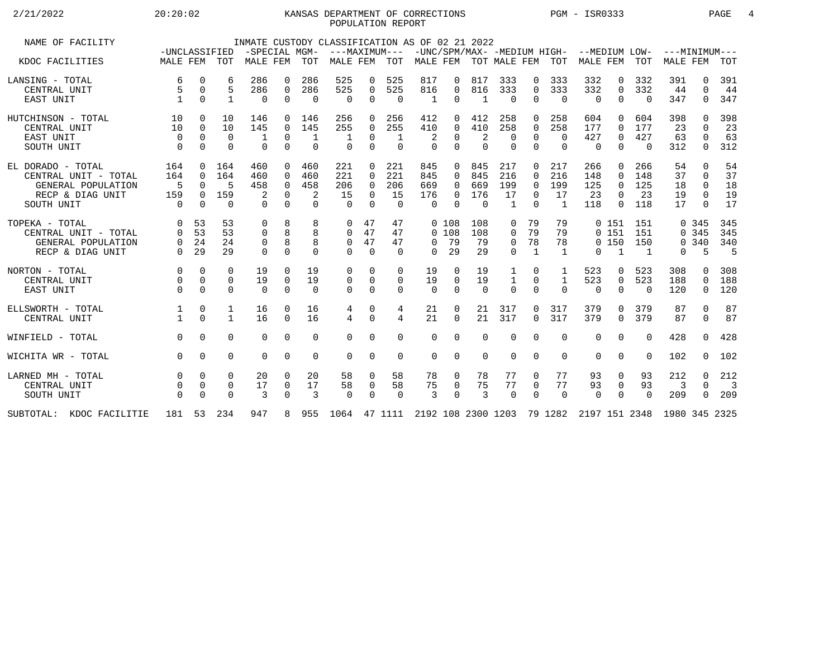### 2/21/2022 20:20:02 20:20:02 KANSAS DEPARTMENT OF CORRECTIONS PGM - ISR0333 PAGE 4 POPULATION REPORT

| NAME OF FACILITY         | -UNCLASSIFIED |          |                | -SPECIAL MGM- |             |             | INMATE CUSTODY CLASSIFICATION AS OF 02 21 2022                            |             | ---MAXIMUM---  |          |          |                           |                |              |                | -UNC/SPM/MAX- -MEDIUM HIGH- --MEDIUM LOW- |              |                | $---MINIMUM---$ |              |                          |
|--------------------------|---------------|----------|----------------|---------------|-------------|-------------|---------------------------------------------------------------------------|-------------|----------------|----------|----------|---------------------------|----------------|--------------|----------------|-------------------------------------------|--------------|----------------|-----------------|--------------|--------------------------|
| KDOC FACILITIES          | MALE FEM TOT  |          |                | MALE FEM      |             | TOT         | MALE FEM                                                                  |             | TOT            |          |          | MALE FEM TOT MALE FEM TOT |                |              |                | MALE FEM                                  |              | TOT            | <b>MALE FEM</b> |              | TOT                      |
| LANSING - TOTAL          | 6             | 0        | 6              | 286           | 0           | 286         | 525                                                                       | 0           | 525            | 817      | 0        | 817                       | 333            | 0            | 333            | 332                                       | 0            | 332            | 391             | 0            | 391                      |
| CENTRAL UNIT             | 5             | 0        | 5              | 286           | $\mathbf 0$ | 286         | 525                                                                       | $\mathbf 0$ | 525            | 816      | 0        | 816                       | 333            | 0            | 333            | 332                                       | $\mathbf 0$  | 332            | 44              | 0            | 44                       |
| EAST UNIT                |               | $\Omega$ | $\mathbf{1}$   | $\Omega$      | $\Omega$    | $\Omega$    | $\Omega$                                                                  | 0           | $\Omega$       | 1        | $\Omega$ | 1                         | $\Omega$       | $\Omega$     | $\overline{0}$ | $\Omega$                                  | $\Omega$     | $\Omega$       | 347             | 0            | 347                      |
| HUTCHINSON - TOTAL       | 10            | $\Omega$ | 10             | 146           | 0           | 146         | 256                                                                       | 0           | 256            | 412      | 0        | 412                       | 258            | $\Omega$     | 258            | 604                                       | <sup>0</sup> | 604            | 398             | <sup>0</sup> | 398                      |
| CENTRAL UNIT             | 10            | $\Omega$ | 10             | 145           | $\Omega$    | 145         | 255                                                                       | 0           | 255            | 410      | $\Omega$ | 410                       | 258            | $\Omega$     | 258            | 177                                       | $\Omega$     | 177            | 23              | $\cap$       | 23                       |
| EAST UNIT                | $\Omega$      | $\Omega$ | $\overline{0}$ | 1             | $\mathbf 0$ | $\mathbf 1$ | 1                                                                         | $\Omega$    | $\mathbf{1}$   | 2        | 0        | 2                         | $\overline{0}$ | $\Omega$     | $\Omega$       | 427                                       | $\mathbf 0$  | 427            | 63              | $\Omega$     | 63                       |
| SOUTH UNIT               | $\Omega$      | 0        | $\Omega$       | $\Omega$      | $\Omega$    | $\Omega$    | $\Omega$                                                                  | $\Omega$    | $\Omega$       | $\Omega$ | $\Omega$ | $\Omega$                  | $\mathbf 0$    | $\Omega$     | $\Omega$       | 0                                         | $\Omega$     | $\Omega$       | 312             | 0            | 312                      |
| EL DORADO - TOTAL        | 164           | $\Omega$ | 164            | 460           | $\Omega$    | 460         | 221                                                                       | $\Omega$    | 221            | 845      | $\Omega$ | 845                       | 217            | $\Omega$     | 217            | 266                                       | $\Omega$     | 266            | 54              | $\Omega$     | 54                       |
| CENTRAL UNIT - TOTAL     | 164           | $\Omega$ | 164            | 460           | $\Omega$    | 460         | 221                                                                       | $\Omega$    | 221            | 845      | $\Omega$ | 845                       | 216            | $\Omega$     | 216            | 148                                       | $\Omega$     | 148            | 37              | $\Omega$     | 37                       |
| GENERAL POPULATION       | .5            | $\Omega$ | .5             | 458           | $\Omega$    | 458         | 206                                                                       | $\Omega$    | 206            | 669      | 0        | 669                       | 199            | $\Omega$     | 199            | 125                                       | $\Omega$     | 125            | 18              | $\Omega$     | 18                       |
| RECP & DIAG UNIT         | 159           | $\Omega$ | 159            |               | $\Omega$    | 2           | 15                                                                        | $\Omega$    | 15             | 176      | 0        | 176                       | 17             | $\Omega$     | 17             | 23                                        | $\Omega$     | 23             | 19              | $\Omega$     | 19                       |
| SOUTH UNIT               | $\Omega$      | $\Omega$ | $\Omega$       | $\Omega$      | $\Omega$    | $\Omega$    | $\Omega$                                                                  | $\Omega$    | $\Omega$       | $\Omega$ | $\Omega$ | $\Omega$                  | $\mathbf{1}$   | $\Omega$     | -1             | 118                                       | $\Omega$     | 118            | 17              | $\cap$       | 17                       |
| TOPEKA - TOTAL           | 0             | 53       | 53             | $\mathbf 0$   | 8           | 8           | 0                                                                         | 47          | 47             |          | 0, 108   | 108                       | 0              | 79           | 79             |                                           | 0151         | 151            |                 | 0.345        | 345                      |
| CENTRAL UNIT - TOTAL     | $\Omega$      | 53       | 53             | $\Omega$      | 8           | 8           | 0                                                                         | 47          | 47             | $\Omega$ | 108      | 108                       | $\mathbf 0$    | 79           | 79             |                                           | 0151         | 151            |                 | 0, 345       | 345                      |
| GENERAL POPULATION       | 0             | 24       | 24             | 0             | 8           | 8           | 0                                                                         | 47          | 47             | $\Omega$ | 79       | 79                        | 0              | 78           | 78             |                                           | 0, 150       | 150            |                 | 0.340        | 340                      |
| RECP & DIAG UNIT         | $\Omega$      | 29       | 29             | $\Omega$      | $\Omega$    | 0           | 0                                                                         | $\Omega$    | $\Omega$       | $\Omega$ | 29       | 29                        | $\Omega$       | $\mathbf{1}$ | -1             | $\Omega$                                  | $\mathbf{1}$ | $\overline{1}$ | $\Omega$        | 5            | -5                       |
| NORTON - TOTAL           | $\Omega$      | $\Omega$ | $\Omega$       | 19            | $\Omega$    | 19          | 0                                                                         | 0           | $\Omega$       | 19       | $\Omega$ | 19                        | 1              | $\Omega$     | 1              | 523                                       | $\Omega$     | 523            | 308             | 0            | 308                      |
| CENTRAL UNIT             | $\Omega$      | $\Omega$ | $\Omega$       | 19            | $\Omega$    | 19          | 0                                                                         | $\Omega$    | $\Omega$       | 19       | $\Omega$ | 19                        | 1              | $\Omega$     | 1              | 523                                       | $\mathbf 0$  | 523            | 188             | $\Omega$     | 188                      |
| EAST UNIT                | $\Omega$      | $\Omega$ | $\Omega$       | $\Omega$      | $\Omega$    | $\Omega$    | $\Omega$                                                                  | $\Omega$    | $\Omega$       | $\Omega$ | $\Omega$ | $\Omega$                  | $\Omega$       | $\Omega$     | $\Omega$       | $\Omega$                                  | $\Omega$     | $\Omega$       | 120             | 0            | 120                      |
| ELLSWORTH - TOTAL        | 1             | 0        | 1              | 16            | $\Omega$    | 16          | 4                                                                         | 0           | 4              | 21       | 0        | 21                        | 317            | 0            | 317            | 379                                       | $\Omega$     | 379            | 87              | $\Omega$     | 87                       |
| CENTRAL UNIT             |               | $\Omega$ | $\mathbf{1}$   | 16            | $\Omega$    | 16          | 4                                                                         | $\Omega$    | $\overline{4}$ | 21       | $\Omega$ | 21                        | 317            | $\Omega$     | 317            | 379                                       | $\Omega$     | 379            | 87              | $\Omega$     | 87                       |
| WINFIELD - TOTAL         | $\Omega$      | $\Omega$ | $\Omega$       | 0             | $\mathbf 0$ | $\Omega$    | $\Omega$                                                                  | $\Omega$    | $\mathbf 0$    | $\Omega$ | $\Omega$ | $\Omega$                  | $\mathbf 0$    | $\Omega$     | $\Omega$       | $\mathbf 0$                               | $\Omega$     | $\Omega$       | 428             | 0            | 428                      |
| WICHITA WR - TOTAL       | $\Omega$      | $\Omega$ | $\Omega$       | $\Omega$      | $\Omega$    | $\Omega$    | $\Omega$                                                                  | $\Omega$    | $\Omega$       | $\Omega$ | $\Omega$ | $\Omega$                  | 0              | $\Omega$     | $\Omega$       | $\Omega$                                  | $\Omega$     | $\Omega$       | 102             | 0            | 102                      |
| LARNED MH - TOTAL        | $\mathbf 0$   | $\Omega$ | 0              | 20            | 0           | 20          | 58                                                                        | 0           | 58             | 78       | 0        | 78                        | 77             | 0            | 77             | 93                                        | 0            | 93             | 212             | 0            | 212                      |
| CENTRAL UNIT             | 0             | 0        | 0              | 17            | 0           | 17          | 58                                                                        | 0           | 58             | 75       | 0        | 75                        | 77             | 0            | 77             | 93                                        | 0            | 93             | 3               | $\Omega$     | $\overline{\phantom{a}}$ |
| SOUTH UNIT               | $\Omega$      | $\Omega$ | $\Omega$       | 3             | $\Omega$    | 3           | $\Omega$                                                                  | $\Omega$    | $\Omega$       | 3        | $\Omega$ | 3                         | $\Omega$       | $\Omega$     | $\Omega$       | $\Omega$                                  | $\Omega$     | $\Omega$       | 209             | 0            | 209                      |
| SUBTOTAL: KDOC FACILITIE | 181 53 234    |          |                | 947           |             |             | 8 955 1064 47 1111 2192 108 2300 1203 79 1282 2197 151 2348 1980 345 2325 |             |                |          |          |                           |                |              |                |                                           |              |                |                 |              |                          |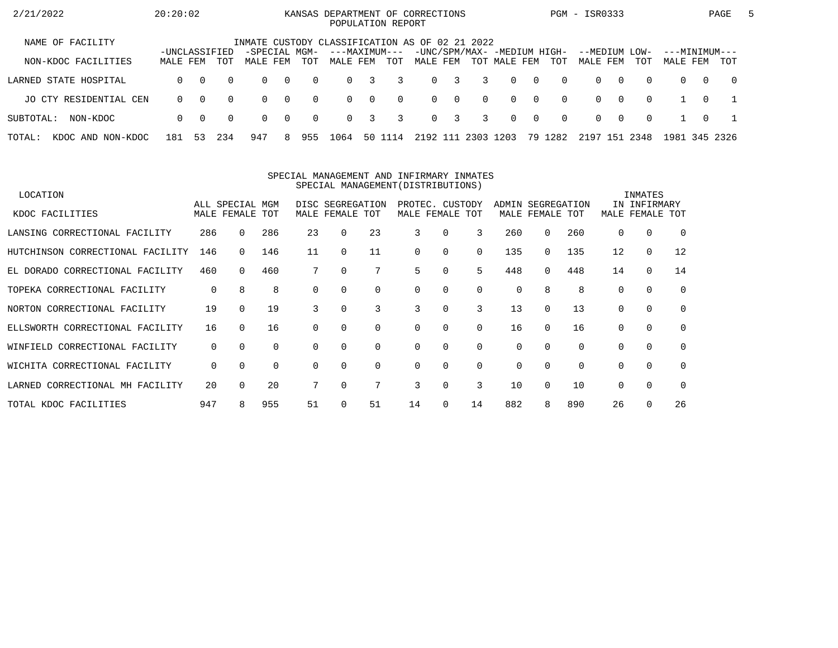| 2/21/2022                   | 20:20:02      |          |          |                                                                 |                |          | KANSAS DEPARTMENT OF CORRECTIONS<br>POPULATION REPORT |          |          |          |             |          |                             |                |          | PGM - ISR0333 |   |          |               |          | PAGE           | 5 |
|-----------------------------|---------------|----------|----------|-----------------------------------------------------------------|----------------|----------|-------------------------------------------------------|----------|----------|----------|-------------|----------|-----------------------------|----------------|----------|---------------|---|----------|---------------|----------|----------------|---|
| NAME OF FACILITY            | -UNCLASSIFIED |          |          | INMATE CUSTODY CLASSIFICATION AS OF 02 21 2022<br>-SPECIAL MGM- |                |          | ---MAXIMUM---                                         |          |          |          |             |          | -UNC/SPM/MAX- -MEDIUM HIGH- |                |          | --MEDIUM LOW- |   |          | ---MINIMUM--- |          |                |   |
| NON-KDOC FACILITIES         | MALE FEM      |          | TOT      | MALE FEM                                                        |                | TOT      | MALE FEM                                              |          | TOT      | MALE FEM |             |          | TOT MALE FEM                |                | TOT      | MALE FEM      |   | TOT      | MALE FEM      |          | <b>TOT</b>     |   |
| LARNED STATE HOSPITAL       | $\Omega$      | $\Omega$ | $\Omega$ | $\Omega$                                                        | $\overline{0}$ | $\Omega$ | $\Omega$                                              | 3        | 3        |          | $0 \quad 3$ | 3        | $\Omega$                    | $\bigcirc$     | $\Omega$ | $\Omega$      | റ | $\Omega$ | $\Omega$      | $\Omega$ | $\overline{0}$ |   |
| JO CTY RESIDENTIAL CEN      | $\Omega$      | $\Omega$ | $\Omega$ | $\Omega$                                                        | $\overline{0}$ | $\Omega$ | $\Omega$                                              | $\Omega$ | $\Omega$ |          | $0 \quad 0$ | $\Omega$ | $\Omega$                    | $\overline{0}$ | $\Omega$ | $\Omega$      | റ | $\Omega$ |               | $\Omega$ |                |   |
| SUBTOTAL:<br>NON-KDOC       | $\Omega$      | $\Omega$ | $\Omega$ | $\Omega$                                                        | $\overline{0}$ | $\Omega$ | $\Omega$                                              | 3        | 3        |          | $0 \quad 3$ | 3        | $\Omega$                    | $\overline{0}$ | $\Omega$ | $\Omega$      | റ | $\Omega$ |               | $\Omega$ |                |   |
| TOTAL:<br>KDOC AND NON-KDOC | 181           | 53       | 234      | 947                                                             | 8.             | 955      | 1064                                                  |          | 50 1114  | 2192 111 |             | 2303     | 1203                        |                | 79 1282  | 2197 151      |   | 2348     | 1981          |          | 345 2326       |   |

#### SPECIAL MANAGEMENT AND INFIRMARY INMATESSPECIAL MANAGEMENT(DISTRIBUTIONS)

| LOCATION                         |     |                 |     |          |                  |          |          |                 |          |          |              |          |          | INMATES      |             |
|----------------------------------|-----|-----------------|-----|----------|------------------|----------|----------|-----------------|----------|----------|--------------|----------|----------|--------------|-------------|
|                                  |     | ALL SPECIAL MGM |     |          | DISC SEGREGATION |          |          | PROTEC. CUSTODY |          | ADMIN    | SEGREGATION  |          |          | IN INFIRMARY |             |
| KDOC FACILITIES                  |     | MALE FEMALE TOT |     | MALE     | FEMALE TOT       |          |          | MALE FEMALE TOT |          |          | MALE FEMALE  | TOT      | MALE     | FEMALE       | TOT         |
| LANSING CORRECTIONAL FACILITY    | 286 | $\Omega$        | 286 | 23       | 0                | 23       | 3        | 0               | 3        | 260      | 0            | 260      | $\Omega$ | 0            | $\Omega$    |
| HUTCHINSON CORRECTIONAL FACILITY | 146 |                 | 146 | 11       | $\Omega$         | 11       | $\Omega$ | 0               | 0        | 135      | 0            | 135      | 12       | $\mathbf 0$  | 12          |
| EL DORADO CORRECTIONAL FACILITY  | 460 | $\Omega$        | 460 |          | 0                |          | 5        | 0               | 5        | 448      | 0            | 448      | 14       | $\mathbf 0$  | 14          |
| TOPEKA CORRECTIONAL FACILITY     | 0   | 8               | 8   | $\Omega$ | $\Omega$         | $\Omega$ | $\Omega$ | 0               | $\Omega$ | 0        | 8            | 8        | $\Omega$ | $\Omega$     | $\mathbf 0$ |
| NORTON CORRECTIONAL FACILITY     | 19  | $\cap$          | 19  | 3        |                  | 3        | 3        | 0               | 3        | 13       | $\Omega$     | 13       | $\Omega$ | $\Omega$     | $\Omega$    |
| ELLSWORTH CORRECTIONAL FACILITY  | 16  | $\Omega$        | 16  | 0        |                  | $\Omega$ | $\Omega$ | 0               | $\Omega$ | 16       | <sup>n</sup> | 16       |          | $\mathbf 0$  | $\mathbf 0$ |
| WINFIELD CORRECTIONAL FACILITY   | 0   | $\Omega$        | 0   | $\Omega$ | 0                | 0        | 0        | 0               | 0        | 0        | 0            | $\Omega$ | $\Omega$ | 0            | 0           |
| WICHITA CORRECTIONAL FACILITY    | 0   | $\Omega$        | 0   |          | 0                | $\Omega$ | $\Omega$ | $\Omega$        | $\Omega$ | $\Omega$ | $\Omega$     | $\Omega$ | $\Omega$ | $\Omega$     | $\Omega$    |
| LARNED CORRECTIONAL MH FACILITY  | 20  | $\Omega$        | 20  |          |                  | 7        | 3        | 0               | 3        | 10       | $\Omega$     | 10       | $\Omega$ | $\mathbf 0$  | $\Omega$    |
| TOTAL KDOC FACILITIES            | 947 |                 | 955 | 51       |                  | 51       | 14       | $\Omega$        | 14       | 882      | 8            | 890      | 26       | $\Omega$     | 26          |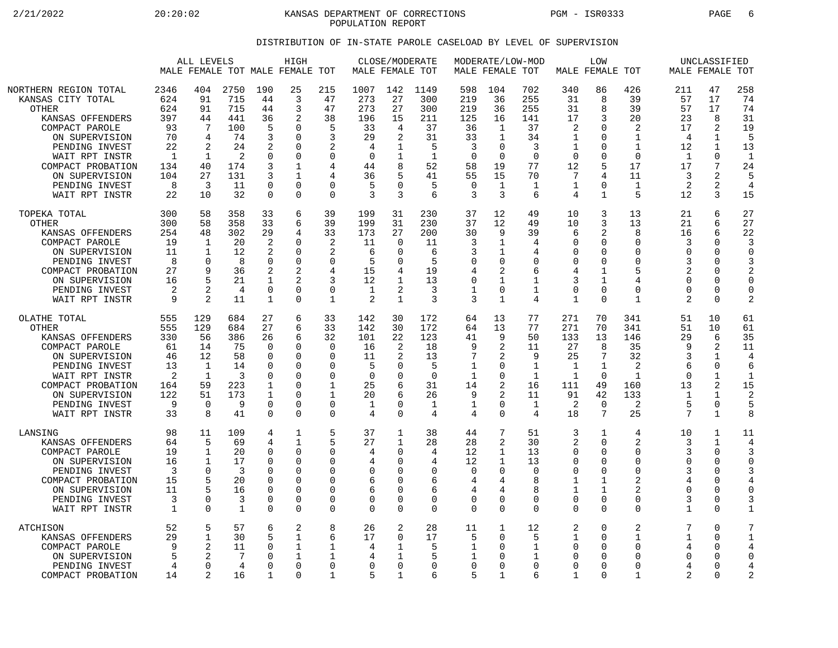2/21/2022 20:20:02 KANSAS DEPARTMENT OF CORRECTIONS PGM - ISR0333 PAGE 6 POPULATION REPORT

### DISTRIBUTION OF IN-STATE PAROLE CASELOAD BY LEVEL OF SUPERVISION

|                                                                                                                                                                                                                                   | HIGH<br>ALL LEVELS<br>MALE FEMALE TOT MALE FEMALE TOT                                |                                                                                  |                                                                             |                                                                                                 |                                                                                                                  |                                                                                                                    | CLOSE/MODERATE<br>MALE FEMALE TOT                                               |                                                                                             |                                                                                  | MALE FEMALE TOT                                                                             | MODERATE/LOW-MOD                                                       |                                                                                       | LOW<br>MALE FEMALE TOT                                                           |                                                                                                                  |                                                                                                       | UNCLASSIFIED<br>MALE FEMALE TOT                                                             |                                                                                                         |                                                                                                     |
|-----------------------------------------------------------------------------------------------------------------------------------------------------------------------------------------------------------------------------------|--------------------------------------------------------------------------------------|----------------------------------------------------------------------------------|-----------------------------------------------------------------------------|-------------------------------------------------------------------------------------------------|------------------------------------------------------------------------------------------------------------------|--------------------------------------------------------------------------------------------------------------------|---------------------------------------------------------------------------------|---------------------------------------------------------------------------------------------|----------------------------------------------------------------------------------|---------------------------------------------------------------------------------------------|------------------------------------------------------------------------|---------------------------------------------------------------------------------------|----------------------------------------------------------------------------------|------------------------------------------------------------------------------------------------------------------|-------------------------------------------------------------------------------------------------------|---------------------------------------------------------------------------------------------|---------------------------------------------------------------------------------------------------------|-----------------------------------------------------------------------------------------------------|
| NORTHERN REGION TOTAL<br>KANSAS CITY TOTAL<br><b>OTHER</b><br>KANSAS OFFENDERS<br>COMPACT PAROLE<br>ON SUPERVISION<br>PENDING INVEST<br>WAIT RPT INSTR<br>COMPACT PROBATION<br>ON SUPERVISION<br>PENDING INVEST<br>WAIT RPT INSTR | 2346<br>624<br>624<br>397<br>93<br>70<br>22<br>$\mathbf{1}$<br>134<br>104<br>8<br>22 | 404<br>91<br>91<br>44<br>7<br>4<br>2<br>1<br>40<br>27<br>3<br>10                 | 2750<br>715<br>715<br>441<br>100<br>74<br>24<br>2<br>174<br>131<br>11<br>32 | 190<br>44<br>44<br>36<br>5<br>3<br>2<br>$\Omega$<br>3<br>3<br>$\Omega$<br>$\Omega$              | 25<br>3<br>3<br>2<br>$\cap$<br>0<br>$\Omega$<br>0<br>1<br>1<br>$\Omega$<br>$\Omega$                              | 215<br>47<br>47<br>38<br>5<br>3<br>2<br>$\Omega$<br>4<br>4<br>$\Omega$<br>$\Omega$                                 | 1007<br>273<br>273<br>196<br>33<br>29<br>4<br>$\mathbf 0$<br>44<br>36<br>5<br>3 | 142<br>27<br>27<br>15<br>4<br>2<br>-1<br>1<br>8<br>5<br><sup>0</sup><br>3                   | 1149<br>300<br>300<br>211<br>37<br>31<br>5<br>$\mathbf{1}$<br>52<br>41<br>5<br>6 | 598<br>219<br>219<br>125<br>36<br>33<br>3<br>$\overline{0}$<br>58<br>55<br>$\mathbf 0$<br>3 | 104<br>36<br>36<br>16<br>1<br>1<br>0<br>0<br>19<br>15<br>1<br>3        | 702<br>255<br>255<br>141<br>37<br>34<br>3<br>$\Omega$<br>77<br>70<br>$\mathbf 1$<br>6 | 340<br>31<br>31<br>17<br>2<br>1<br>1<br>$\Omega$<br>12<br>7<br>$\mathbf 1$<br>4  | 86<br>8<br>8<br>3<br>$\Omega$<br>$\mathbf 0$<br>$\Omega$<br>$\mathbf 0$<br>5<br>4<br>$\mathbf 0$<br>$\mathbf{1}$ | 426<br>39<br>39<br>20<br>2<br>$\mathbf{1}$<br>$\mathbf{1}$<br>$\Omega$<br>17<br>11<br>1<br>5          | 211<br>57<br>57<br>23<br>17<br>$\overline{4}$<br>12<br>1<br>17<br>3<br>$\overline{2}$<br>12 | 47<br>17<br>17<br>8<br>2<br>$\mathbf{1}$<br>1<br>0<br>7<br>2<br>2<br>3                                  | 258<br>74<br>74<br>31<br>19<br>5<br>13<br>$\mathbf{1}$<br>24<br>5<br>$\overline{4}$<br>15           |
| TOPEKA TOTAL<br>OTHER<br>KANSAS OFFENDERS<br>COMPACT PAROLE<br>ON SUPERVISION<br>PENDING INVEST<br>COMPACT PROBATION<br>ON SUPERVISION<br>PENDING INVEST<br>WAIT RPT INSTR                                                        | 300<br>300<br>254<br>19<br>11<br>8<br>27<br>16<br>2<br>9                             | 58<br>58<br>48<br>1<br>$\mathbf{1}$<br>$\Omega$<br>9<br>5<br>2<br>$\overline{2}$ | 358<br>358<br>302<br>20<br>12<br>8<br>36<br>21<br>4<br>11                   | 33<br>33<br>29<br>$\overline{2}$<br>2<br>$\Omega$<br>2<br>1<br>$\overline{0}$<br>1              | 6<br>6<br>4<br>0<br>$\Omega$<br>$\Omega$<br>$\Omega$<br>$\Omega$                                                 | 39<br>39<br>33<br>2<br>2<br>$\Omega$<br>4<br>3<br>$\mathbf 0$<br>$\mathbf{1}$                                      | 199<br>199<br>173<br>11<br>6<br>5<br>15<br>12<br>$\mathbf{1}$<br>2              | 31<br>31<br>27<br>$\Omega$<br>$\Omega$<br>$\Omega$<br>4<br>2<br>1                           | 230<br>230<br>200<br>11<br>6<br>5<br>19<br>13<br>3<br>3                          | 37<br>37<br>30<br>3<br>3<br>$\mathbf 0$<br>4<br>$\mathbf 0$<br>$\mathbf 1$<br>3             | 12<br>12<br>9<br>1<br>1<br>0<br>2<br>$\mathbf{1}$<br>0<br>$\mathbf{1}$ | 49<br>49<br>39<br>4<br>4<br>$\Omega$<br>6<br>$\mathbf{1}$<br>1<br>4                   | 10<br>10<br>6<br>∩<br>$\Omega$<br>$\Omega$<br>4<br>3<br>$\Omega$<br>$\mathbf{1}$ | 3<br>3<br>$\overline{2}$<br>$\mathbf 0$<br>$\Omega$<br>0<br>1<br>$\mathbf{1}$<br>$\mathbf 0$<br>$\Omega$         | 13<br>13<br>8<br>$\mathbf 0$<br>$\Omega$<br>$\mathbf 0$<br>5<br>4<br>$\mathbf 0$<br>$\mathbf{1}$      | 21<br>21<br>16<br>3<br>$\Omega$<br>3<br>$\overline{2}$<br>$\cap$<br>$\Omega$<br>2           | 6<br>6<br>6<br>0<br>$\Omega$<br>$\Omega$<br>0<br>$\Omega$<br>$\Omega$<br>$\Omega$                       | 27<br>27<br>22<br>3<br>$\Omega$<br>3<br>$\overline{2}$<br>$\Omega$<br>$\mathbf 0$<br>$\overline{2}$ |
| OLATHE TOTAL<br><b>OTHER</b><br>KANSAS OFFENDERS<br>COMPACT PAROLE<br>ON SUPERVISION<br>PENDING INVEST<br>WAIT RPT INSTR<br>COMPACT PROBATION<br>ON SUPERVISION<br>PENDING INVEST<br>WAIT RPT INSTR                               | 555<br>555<br>330<br>61<br>46<br>13<br>2<br>164<br>122<br>9<br>33                    | 129<br>129<br>56<br>14<br>12<br>1<br>$\mathbf{1}$<br>59<br>51<br>$\Omega$<br>8   | 684<br>684<br>386<br>75<br>58<br>14<br>3<br>223<br>173<br>9<br>41           | 27<br>27<br>26<br>$\Omega$<br>$\mathbf 0$<br>O<br>$\Omega$<br>1<br>1<br>$\Omega$<br>$\mathbf 0$ | 6<br>6<br>6<br>$\cap$<br>0<br>$\Omega$<br>$\Omega$<br>$\Omega$<br>$\Omega$<br>$\Omega$<br>$\Omega$               | 33<br>33<br>32<br>$\mathbf 0$<br>$\Omega$<br>$\Omega$<br>$\Omega$<br>$\mathbf{1}$<br>$\mathbf{1}$<br>0<br>$\Omega$ | 142<br>142<br>101<br>16<br>11<br>5<br>$\mathbf 0$<br>25<br>20<br>1<br>4         | 30<br>30<br>22<br>2<br>2<br>$\Omega$<br>$\Omega$<br>6<br>6<br>$\Omega$<br>$\Omega$          | 172<br>172<br>123<br>18<br>13<br>5<br>$\Omega$<br>31<br>26<br>1<br>4             | 64<br>64<br>41<br>9<br>7<br>$\mathbf{1}$<br>$\mathbf 1$<br>14<br>9<br>1<br>4                | 13<br>13<br>9<br>2<br>2<br>0<br>0<br>2<br>2<br>0<br>0                  | 77<br>77<br>50<br>11<br>9<br>$\mathbf{1}$<br>$\mathbf 1$<br>16<br>11<br>1<br>4        | 271<br>271<br>133<br>27<br>25<br>1<br>$\mathbf{1}$<br>111<br>91<br>2<br>18       | 70<br>70<br>13<br>8<br>7<br>$\mathbf{1}$<br>$\Omega$<br>49<br>42<br>$\mathbf 0$<br>7                             | 341<br>341<br>146<br>35<br>32<br>2<br>$\mathbf{1}$<br>160<br>133<br>2<br>25                           | 51<br>51<br>29<br>q<br>3<br>6<br>$\cap$<br>13<br>1<br>5<br>7                                | 10<br>10<br>6<br>2<br>$\mathbf{1}$<br>$\Omega$<br>$\mathbf 1$<br>2<br>$\mathbf{1}$<br>0<br>$\mathbf{1}$ | 61<br>61<br>35<br>11<br>4<br>6<br>1<br>15<br>2<br>5<br>8                                            |
| LANSING<br>KANSAS OFFENDERS<br>COMPACT PAROLE<br>ON SUPERVISION<br>PENDING INVEST<br>COMPACT PROBATION<br>ON SUPERVISION<br>PENDING INVEST<br>WAIT RPT INSTR                                                                      | 98<br>64<br>19<br>16<br>3<br>15<br>11<br>3<br>$\mathbf{1}$                           | 11<br>5<br>1<br>$\mathbf 1$<br>$\Omega$<br>5<br>$\Omega$<br>$\Omega$             | 109<br>69<br>20<br>17<br>3<br>20<br>16<br>3<br>1                            | 4<br>4<br>$\Omega$<br>$\Omega$<br>$\Omega$<br>$\Omega$<br>$\Omega$<br>0<br>0                    | $\mathbf{1}$<br>$\mathbf{1}$<br>$\Omega$<br>$\Omega$<br>$\Omega$<br>$\Omega$<br>$\Omega$<br>$\Omega$<br>$\Omega$ | 5<br>5<br>0<br>$\Omega$<br>$\Omega$<br>$\Omega$<br>$\Omega$<br>0<br>$\Omega$                                       | 37<br>27<br>4<br>4<br>0<br>6<br>6<br>0<br>$\mathbf 0$                           | 1<br>$\mathbf{1}$<br>$\Omega$<br>$\Omega$<br>∩<br>$\Omega$<br><sup>0</sup><br>0<br>$\Omega$ | 38<br>28<br>4<br>4<br>$\Omega$<br>6<br>6<br>0<br>$\Omega$                        | 44<br>28<br>12<br>12<br>$\Omega$<br>4<br>4<br>$\mathbf 0$<br>$\Omega$                       | 7<br>2<br>$\mathbf 1$<br>1<br>0<br>4<br>4<br>0<br>$\Omega$             | 51<br>30<br>13<br>13<br>$\Omega$<br>8<br>8<br>0<br>$\Omega$                           | 3<br>2<br>$\Omega$<br>$\Omega$<br>$\Omega$<br>$\mathbf 1$<br>1<br>0<br>$\Omega$  | 1<br>$\Omega$<br>$\Omega$<br>$\mathbf 0$<br>$\Omega$<br>1<br>$\mathbf{1}$<br>$\mathbf 0$<br>$\Omega$             | 4<br>$\overline{2}$<br>0<br>$\mathbf 0$<br>$\Omega$<br>$\overline{2}$<br>2<br>$\mathbf 0$<br>$\Omega$ | 10<br>3<br>3<br>$\Omega$<br>3<br>4<br>$\Omega$<br>3<br>1                                    | 1<br>$\mathbf{1}$<br>0<br>$\Omega$<br>$\Omega$<br>$\Omega$<br>$\Omega$<br>0<br>$\Omega$                 | 11<br>4<br>3<br>$\Omega$<br>4<br>0<br>3<br>1                                                        |
| <b>ATCHISON</b><br>KANSAS OFFENDERS<br>COMPACT PAROLE<br>ON SUPERVISION<br>PENDING INVEST<br>COMPACT PROBATION                                                                                                                    | 52<br>29<br>9<br>4<br>14                                                             | 5<br>$\mathbf 1$<br>2<br>$\Omega$<br>2                                           | 57<br>30<br>11<br>7<br>4<br>16                                              | 6<br>5<br>$\Omega$<br>O<br>$\Omega$<br>1                                                        | 2<br>$\mathbf{1}$<br>$\mathbf{1}$<br>1<br>$\Omega$<br>O                                                          | 8<br>6<br>$\mathbf{1}$<br>1<br>$\Omega$<br>$\mathbf{1}$                                                            | 26<br>17<br>4<br>4<br>0<br>5                                                    | $\overline{2}$<br>$\Omega$<br>1<br>$\Omega$<br>1                                            | 28<br>17<br>5<br>5<br>0<br>6                                                     | 11<br>5<br>1<br>1<br>$\overline{0}$<br>5                                                    | $\mathbf{1}$<br>0<br>0<br>0<br>0<br>$\mathbf{1}$                       | 12<br>.5<br>1<br>1<br>$\Omega$<br>6                                                   | 2<br>$\mathbf{1}$<br>$\mathbf 0$<br>$\Omega$<br>$\Omega$<br>1                    | $\mathbf 0$<br>$\Omega$<br>$\Omega$<br>$\Omega$<br>0<br>$\Omega$                                                 | $\overline{2}$<br>$\mathbf{1}$<br>$\mathbf 0$<br>$\Omega$<br>$\Omega$<br>1                            | 7<br>1<br>4<br>$\Omega$<br>4<br>2                                                           | $\Omega$<br>$\Omega$<br>$\mathbf 0$<br>$\Omega$<br>$\Omega$<br>$\Omega$                                 | 7<br>$\mathbf{1}$<br>4<br>$\Omega$<br>4<br>$\overline{2}$                                           |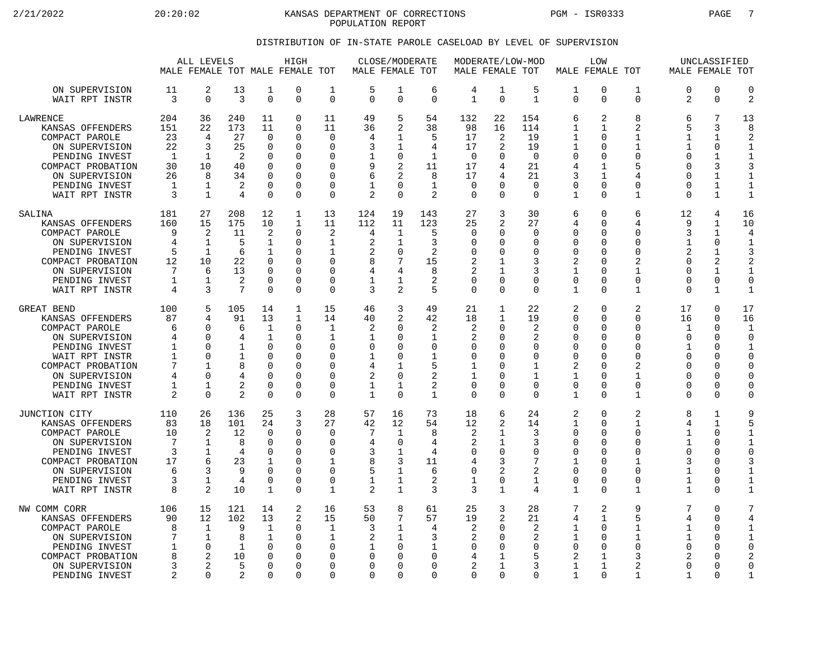2/21/2022 20:20:02 20:20:02 KANSAS DEPARTMENT OF CORRECTIONS PGM - ISR0333 PAGE 7 POPULATION REPORT

### DISTRIBUTION OF IN-STATE PAROLE CASELOAD BY LEVEL OF SUPERVISION

|                                                                                                                                                                                   |                                                              | ALL LEVELS                                                                                      |                                                        |                                                                                                             | HIGH<br>MALE FEMALE TOT MALE FEMALE TOT                             |                                                                                                   | MALE FEMALE TOT                                              | CLOSE/MODERATE                                                                       |                                                                                            |                                                                                | MODERATE/LOW-MOD<br>MALE FEMALE TOT                                                       |                                                                        |                                                                                             | LOW<br>MALE FEMALE TOT                                                                              |                                                                                                           |                                                                                               | UNCLASSIFIED<br>MALE FEMALE TOT                                                         |                                                                                                          |
|-----------------------------------------------------------------------------------------------------------------------------------------------------------------------------------|--------------------------------------------------------------|-------------------------------------------------------------------------------------------------|--------------------------------------------------------|-------------------------------------------------------------------------------------------------------------|---------------------------------------------------------------------|---------------------------------------------------------------------------------------------------|--------------------------------------------------------------|--------------------------------------------------------------------------------------|--------------------------------------------------------------------------------------------|--------------------------------------------------------------------------------|-------------------------------------------------------------------------------------------|------------------------------------------------------------------------|---------------------------------------------------------------------------------------------|-----------------------------------------------------------------------------------------------------|-----------------------------------------------------------------------------------------------------------|-----------------------------------------------------------------------------------------------|-----------------------------------------------------------------------------------------|----------------------------------------------------------------------------------------------------------|
| ON SUPERVISION<br>WAIT RPT INSTR                                                                                                                                                  | 11<br>3                                                      | 2<br>$\mathbf 0$                                                                                | 13<br>3                                                | 1<br>$\mathbf 0$                                                                                            | 0<br>0                                                              | 1<br>$\mathbf 0$                                                                                  | 5<br>$\Omega$                                                | 1<br>$\mathbf 0$                                                                     | 6<br>$\Omega$                                                                              | 4<br>$\mathbf{1}$                                                              | 1<br>$\mathbf 0$                                                                          | 5<br>$\mathbf{1}$                                                      | $\mathbf{1}$<br>$\Omega$                                                                    | $\mathbf 0$<br>$\Omega$                                                                             | 1<br>$\mathbf 0$                                                                                          | $\Omega$<br>2                                                                                 | $\Omega$<br>$\mathbf 0$                                                                 | $\Omega$<br>$\overline{2}$                                                                               |
| <b>LAWRENCE</b><br>KANSAS OFFENDERS<br>COMPACT PAROLE<br>ON SUPERVISION<br>PENDING INVEST<br>COMPACT PROBATION<br>ON SUPERVISION<br>PENDING INVEST<br>WAIT RPT INSTR              | 204<br>151<br>23<br>22<br>-1<br>30<br>26<br>1<br>3           | 36<br>22<br>4<br>3<br>$\mathbf{1}$<br>10<br>8<br>1<br>$\mathbf{1}$                              | 240<br>173<br>27<br>25<br>2<br>40<br>34<br>2<br>4      | 11<br>11<br>$\Omega$<br>$\mathbf 0$<br>$\Omega$<br>$\Omega$<br>0<br>$\mathbf 0$<br>$\Omega$                 | 0<br>0<br>0<br>0<br>$\Omega$<br>$\Omega$<br>0<br>0<br>$\Omega$      | 11<br>11<br>$\Omega$<br>$\Omega$<br>∩<br>$\Omega$<br>O<br>$\Omega$<br>$\Omega$                    | 49<br>36<br>4<br>3<br>9<br>6<br>$\overline{2}$               | 5<br>2<br>1<br>1<br>0<br>2<br>2<br>$\Omega$<br>$\Omega$                              | 54<br>38<br>5<br>4<br>$\mathbf{1}$<br>11<br>8<br>$\mathbf 1$<br>$\overline{a}$             | 132<br>98<br>17<br>17<br>$\overline{0}$<br>17<br>17<br>$\mathbf 0$<br>$\Omega$ | 22<br>16<br>2<br>2<br>$\Omega$<br>4<br>4<br>U<br>$\Omega$                                 | 154<br>114<br>19<br>19<br>$\Omega$<br>21<br>21<br>$\Omega$<br>$\Omega$ | 6<br>1<br>1<br>1<br>$\Omega$<br>4<br>3<br>0<br>$\mathbf{1}$                                 | 2<br>1<br>$\Omega$<br>O<br>$\Omega$<br>$\mathbf 1$<br>1<br>0<br>$\Omega$                            | 8<br>$\overline{2}$<br>$\mathbf{1}$<br>1<br>$\Omega$<br>5<br>4<br>0<br>$\mathbf{1}$                       | 6<br>5<br>1<br>1<br>∩<br>$\Omega$<br>$\Omega$<br>$\Omega$<br>$\Omega$                         | 7<br>3<br>$\mathbf{1}$<br>$\mathbf 0$<br>1<br>3<br>1<br>$\mathbf{1}$<br>$\mathbf{1}$    | 13<br>8<br>$\mathfrak{D}$<br>1<br>$\mathbf{1}$<br>3<br>1<br>$\mathbf 1$<br>$\overline{1}$                |
| SALINA<br>KANSAS OFFENDERS<br>COMPACT PAROLE<br>ON SUPERVISION<br>PENDING INVEST<br>COMPACT PROBATION<br>ON SUPERVISION<br>PENDING INVEST<br>WAIT RPT INSTR                       | 181<br>160<br>9<br>4<br>5<br>12<br>7<br>1<br>4               | 27<br>15<br>2<br>1<br>$\mathbf{1}$<br>10<br>6<br>1<br>3                                         | 208<br>175<br>11<br>5<br>6<br>22<br>13<br>2<br>7       | 12<br>10<br>2<br>$\mathbf{1}$<br>$\mathbf{1}$<br>$\mathbf 0$<br>$\Omega$<br>$\mathbf 0$<br>$\Omega$         | 1<br>1<br>0<br>0<br>0<br>$\Omega$<br>$\Omega$<br>0<br>$\Omega$      | 13<br>11<br>2<br>1<br>1<br>$\Omega$<br>$\Omega$<br>$\mathbf 0$<br>$\Omega$                        | 124<br>112<br>4<br>$\overline{2}$<br>2<br>8<br>4<br>1<br>3   | 19<br>11<br>1<br>1<br>$\mathbf 0$<br>7<br>4<br>1<br>2                                | 143<br>123<br>5<br>3<br>$\overline{c}$<br>15<br>8<br>2<br>5                                | 27<br>25<br>$\mathbf 0$<br>$\Omega$<br>0<br>2<br>2<br>$\mathbf 0$<br>$\Omega$  | 3<br>2<br>0<br>O<br>U<br>1<br>1<br>0<br>$\Omega$                                          | 30<br>27<br>$\mathbf 0$<br>O<br>$\Omega$<br>3<br>3<br>0<br>$\Omega$    | 6<br>4<br>0<br>$\Omega$<br>$\Omega$<br>2<br>1<br>$\mathbf 0$<br>$\mathbf{1}$                | $\Omega$<br>∩<br>$\Omega$<br>$\Omega$<br>$\Omega$<br>$\Omega$<br>$\Omega$<br>0<br>$\Omega$          | 6<br>4<br>$\Omega$<br>$\Omega$<br>0<br>$\overline{2}$<br>1<br>0<br>1                                      | 12<br>9<br>3<br>1<br>$\mathfrak{D}$<br>$\Omega$<br>∩<br>$\Omega$<br>$\Omega$                  | 4<br>1<br>$\mathbf{1}$<br>$\Omega$<br>1<br>2<br>1<br>$\mathbf 0$<br>$\mathbf{1}$        | 16<br>10<br>4<br>$\mathbf{1}$<br>3<br>2<br>$\mathbf{1}$<br>$\mathbf 0$<br>$\mathbf{1}$                   |
| GREAT BEND<br>KANSAS OFFENDERS<br>COMPACT PAROLE<br>ON SUPERVISION<br>PENDING INVEST<br>WAIT RPT INSTR<br>COMPACT PROBATION<br>ON SUPERVISION<br>PENDING INVEST<br>WAIT RPT INSTR | 100<br>87<br>6<br>4<br>1<br>$\mathbf{1}$<br>7<br>4<br>1<br>2 | 5<br>4<br>$\Omega$<br><sup>0</sup><br>$\Omega$<br>$\Omega$<br>1<br>$\Omega$<br>1<br>$\mathbf 0$ | 105<br>91<br>6<br>4<br>1<br>1<br>8<br>2<br>2           | 14<br>13<br>$\mathbf 1$<br>$\mathbf{1}$<br>0<br>$\Omega$<br>$\Omega$<br>$\Omega$<br>$\Omega$<br>$\mathbf 0$ | 1<br>1<br>0<br>$\Omega$<br>0<br>$\Omega$<br>0<br>$\Omega$<br>0<br>0 | 15<br>14<br>$\mathbf{1}$<br>1<br>$\Omega$<br>$\Omega$<br>$\Omega$<br>$\Omega$<br>0<br>$\mathbf 0$ | 46<br>40<br>2<br>-1<br>0<br>1<br>4<br>2<br>1<br>$\mathbf{1}$ | 3<br>2<br>$\Omega$<br>$\Omega$<br>$\Omega$<br>0<br>1<br>$\mathbf 0$<br>1<br>$\Omega$ | 49<br>42<br>$\overline{c}$<br>1<br>$\Omega$<br>$\mathbf{1}$<br>5<br>2<br>2<br>$\mathbf{1}$ | 21<br>18<br>2<br>2<br>0<br>$\mathbf 0$<br>1<br>1<br>0<br>$\mathbf 0$           | $\mathbf{1}$<br>$\mathbf{1}$<br>0<br>O<br>U<br>O<br>U<br>$\Omega$<br>$\Omega$<br>$\Omega$ | 22<br>19<br>2<br>2<br>0<br>0<br>1<br>1<br>$\Omega$<br>$\Omega$         | 2<br>$\Omega$<br>0<br>$\Omega$<br>$\Omega$<br>$\mathbf 0$<br>2<br>1<br>$\mathbf 0$<br>1     | $\Omega$<br>∩<br>$\Omega$<br>$\Omega$<br>∩<br>$\Omega$<br>∩<br>$\Omega$<br>$\Omega$<br>$\Omega$     | $\overline{2}$<br>$\Omega$<br>$\Omega$<br>$\Omega$<br>$\Omega$<br>$\Omega$<br>2<br>1<br>0<br>$\mathbf{1}$ | 17<br>16<br>$\mathbf 1$<br>$\Omega$<br>1<br>$\Omega$<br>∩<br>$\Omega$<br>$\Omega$<br>$\Omega$ | $\mathbf 0$<br>$\Omega$<br>$\mathbf 0$<br>$\Omega$<br>0<br>0<br>$\Omega$<br>0<br>0<br>0 | 17<br>16<br>1<br>$\Omega$<br>$\mathbf{1}$<br>$\Omega$<br>$\Omega$<br>$\mathbf 0$<br>$\Omega$<br>$\Omega$ |
| JUNCTION CITY<br>KANSAS OFFENDERS<br>COMPACT PAROLE<br>ON SUPERVISION<br>PENDING INVEST<br>COMPACT PROBATION<br>ON SUPERVISION<br>PENDING INVEST<br>WAIT RPT INSTR                | 110<br>83<br>10<br>7<br>3<br>17<br>6<br>3<br>8               | 26<br>18<br>2<br>1<br>1<br>6<br>3<br>1<br>2                                                     | 136<br>101<br>12<br>8<br>4<br>23<br>9<br>4<br>10       | 25<br>24<br>$\Omega$<br>$\mathbf 0$<br>0<br>$\mathbf{1}$<br>$\Omega$<br>$\mathbf 0$<br>1                    | 3<br>3<br>0<br>0<br>0<br>$\Omega$<br>0<br>0<br>0                    | 28<br>27<br>$\Omega$<br>$\Omega$<br>0<br>$\mathbf{1}$<br>$\Omega$<br>$\mathbf 0$<br>1             | 57<br>42<br>7<br>4<br>3<br>8<br>5<br>1<br>2                  | 16<br>12<br>1<br>0<br>1<br>3<br>$\mathbf 1$<br>1<br>$\mathbf{1}$                     | 73<br>54<br>8<br>4<br>4<br>11<br>6<br>2<br>3                                               | 18<br>12<br>2<br>2<br>0<br>4<br>$\mathbf 0$<br>1<br>3                          | 6<br>2<br>1<br>1<br>$\Omega$<br>3<br>2<br>0<br>$\mathbf{1}$                               | 24<br>14<br>3<br>3<br>0<br>7<br>$\overline{2}$<br>1<br>4               | 2<br>$\mathbf{1}$<br>$\Omega$<br>0<br>0<br>$\mathbf{1}$<br>0<br>$\mathbf 0$<br>$\mathbf{1}$ | $\Omega$<br>$\Omega$<br>$\Omega$<br>∩<br>$\Omega$<br>∩<br>$\Omega$<br>$\Omega$<br>$\Omega$          | $\overline{2}$<br>$\mathbf{1}$<br>$\Omega$<br>$\Omega$<br>$\Omega$<br>1<br>0<br>$\Omega$<br>$\mathbf{1}$  | $\mathsf{R}$<br>4<br>1<br>1<br>$\Omega$<br>3<br>1<br>1<br>$\mathbf{1}$                        | $\mathbf{1}$<br>$\mathbf{1}$<br>$\Omega$<br>0<br>$\Omega$<br>$\Omega$<br>0<br>0<br>0    | 9<br>5<br>$\mathbf{1}$<br>1<br>$\Omega$<br>3<br>1<br>$\mathbf{1}$<br>$\mathbf{1}$                        |
| NW COMM CORR<br>KANSAS OFFENDERS<br>COMPACT PAROLE<br>ON SUPERVISION<br>PENDING INVEST<br>COMPACT PROBATION<br>ON SUPERVISION<br>PENDING INVEST                                   | 106<br>90<br>8<br>7<br>1<br>8<br>3<br>2                      | 15<br>12<br>1<br>$\mathbf 1$<br>0<br>2<br>2<br>$\Omega$                                         | 121<br>102<br>9<br>8<br>1<br>10<br>5<br>$\mathfrak{D}$ | 14<br>13<br>$\mathbf{1}$<br>$\mathbf 1$<br>$\Omega$<br>0<br>$\Omega$<br>$\Omega$                            | 2<br>2<br>0<br>0<br>$\Omega$<br>$\Omega$<br>$\Omega$<br>$\Omega$    | 16<br>15<br>1<br>1<br>$\Omega$<br>$\Omega$<br>$\Omega$<br>$\Omega$                                | 53<br>50<br>3<br>2<br>0<br><sup>0</sup><br>$\Omega$          | 8<br>7<br>1<br>$\mathbf{1}$<br>$\Omega$<br>$\Omega$<br>$\Omega$<br>$\Omega$          | 61<br>57<br>4<br>3<br>1<br>$\Omega$<br>$\Omega$<br>$\Omega$                                | 25<br>19<br>2<br>2<br>0<br>4<br>2<br>$\Omega$                                  | 3<br>2<br>O<br>$\Omega$<br>O<br>-1<br>1<br>$\Omega$                                       | 28<br>21<br>2<br>2<br>$\Omega$<br>5<br>3<br>$\Omega$                   | 7<br>4<br>1<br>$\mathbf{1}$<br>$\Omega$<br>2<br>$\mathbf 1$<br>1                            | $\overline{2}$<br>$\mathbf{1}$<br>$\Omega$<br>$\Omega$<br>$\Omega$<br>1<br>$\mathbf{1}$<br>$\Omega$ | 9<br>5<br>1<br>$\mathbf{1}$<br>$\Omega$<br>3<br>$\overline{2}$<br>$\mathbf{1}$                            | 7<br>4<br>1<br>$\mathbf{1}$<br>$\Omega$<br>2<br>$\Omega$<br>1                                 | 0<br>$\mathbf 0$<br>$\Omega$<br>0<br>0<br>0<br>$\Omega$<br>$\Omega$                     | 7<br>4<br>1<br>$\mathbf{1}$<br>$\Omega$<br>2<br>$\Omega$<br>$\mathbf{1}$                                 |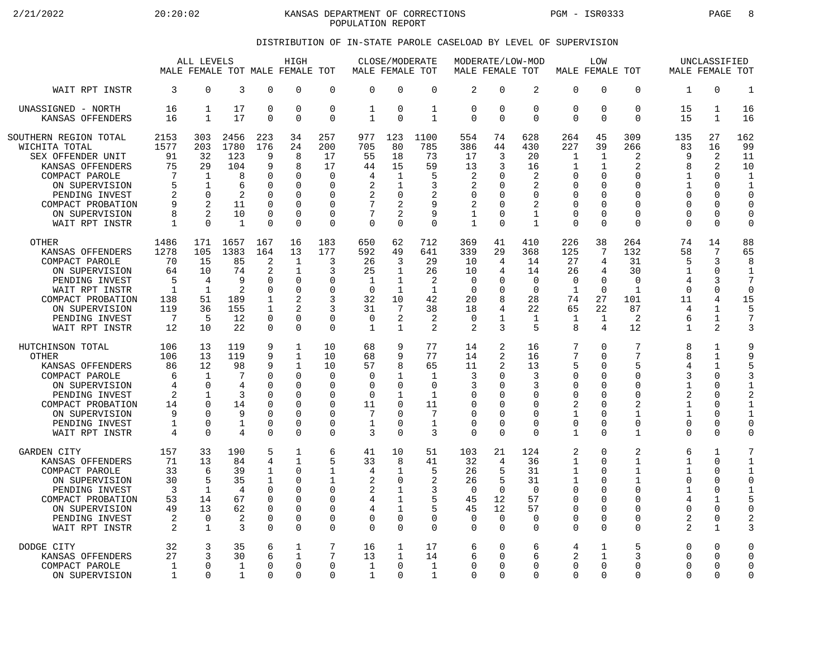$2/21/2022$  20:20:02 KANSAS DEPARTMENT OF CORRECTIONS PGM - ISR0333 PAGE 8 POPULATION REPORT

### DISTRIBUTION OF IN-STATE PAROLE CASELOAD BY LEVEL OF SUPERVISION

|                                                                                                                                                                                                | ALL LEVELS<br>MALE FEMALE TOT MALE FEMALE TOT                               |                                                                              |                                                                       | HIGH                                                                                  |                                                                                                                             | MALE FEMALE TOT                                                                                         | CLOSE/MODERATE                                                             |                                                                                             | MALE FEMALE TOT                                                                           |                                                                        | MODERATE/LOW-MOD                                                   | MALE FEMALE TOT                                                                   | LOW                                                                                                  |                                                  |                                                                                                       | UNCLASSIFIED<br>MALE FEMALE TOT                                                        |                                                                                               |                                                                                                                  |
|------------------------------------------------------------------------------------------------------------------------------------------------------------------------------------------------|-----------------------------------------------------------------------------|------------------------------------------------------------------------------|-----------------------------------------------------------------------|---------------------------------------------------------------------------------------|-----------------------------------------------------------------------------------------------------------------------------|---------------------------------------------------------------------------------------------------------|----------------------------------------------------------------------------|---------------------------------------------------------------------------------------------|-------------------------------------------------------------------------------------------|------------------------------------------------------------------------|--------------------------------------------------------------------|-----------------------------------------------------------------------------------|------------------------------------------------------------------------------------------------------|--------------------------------------------------|-------------------------------------------------------------------------------------------------------|----------------------------------------------------------------------------------------|-----------------------------------------------------------------------------------------------|------------------------------------------------------------------------------------------------------------------|
| WAIT RPT INSTR                                                                                                                                                                                 | 3                                                                           | $\Omega$                                                                     | 3                                                                     | $\Omega$                                                                              | $\Omega$                                                                                                                    | $\mathbf 0$                                                                                             | $\Omega$                                                                   | $\Omega$                                                                                    | $\mathbf 0$                                                                               | 2                                                                      | $\Omega$                                                           | 2                                                                                 | $\mathbf 0$                                                                                          | 0                                                | $\Omega$                                                                                              | $\mathbf{1}$                                                                           | $\Omega$                                                                                      | $\mathbf{1}$                                                                                                     |
| UNASSIGNED - NORTH                                                                                                                                                                             | 16                                                                          | $\mathbf 1$                                                                  | 17                                                                    | $\mathbf 0$                                                                           | $\mathbf 0$                                                                                                                 | $\mathbf 0$                                                                                             | 1                                                                          | $\mathbf 0$                                                                                 | $\mathbf{1}$                                                                              | 0                                                                      | $\Omega$                                                           | $\mathbf 0$                                                                       | $\mathbf 0$                                                                                          | 0                                                | $\mathbf 0$                                                                                           | 15                                                                                     | $\mathbf{1}$                                                                                  | 16                                                                                                               |
| KANSAS OFFENDERS                                                                                                                                                                               | 16                                                                          | 1                                                                            | 17                                                                    | $\Omega$                                                                              | $\Omega$                                                                                                                    | $\mathbf 0$                                                                                             | 1                                                                          | $\Omega$                                                                                    | $\mathbf{1}$                                                                              | 0                                                                      | $\Omega$                                                           | $\Omega$                                                                          | $\Omega$                                                                                             | $\Omega$                                         | $\Omega$                                                                                              | 15                                                                                     | 1                                                                                             | 16                                                                                                               |
| SOUTHERN REGION TOTAL<br>WICHITA TOTAL<br>SEX OFFENDER UNIT<br>KANSAS OFFENDERS<br>COMPACT PAROLE<br>ON SUPERVISION<br>PENDING INVEST<br>COMPACT PROBATION<br>ON SUPERVISION<br>WAIT RPT INSTR | 2153<br>1577<br>91<br>75<br>7<br>5<br>$\overline{2}$<br>8<br>1              | 303<br>203<br>32<br>29<br>$\mathbf 1$<br>1<br>$\Omega$<br>2<br>2<br>$\Omega$ | 2456<br>1780<br>123<br>104<br>8<br>6<br>2<br>11<br>10<br>$\mathbf{1}$ | 223<br>176<br>9<br>9<br>0<br>$\Omega$<br>$\Omega$<br>$\Omega$<br>$\Omega$<br>$\Omega$ | 34<br>24<br>8<br>8<br>$\mathbf 0$<br>$\Omega$<br>$\Omega$<br>$\Omega$<br>$\Omega$<br>$\Omega$                               | 257<br>200<br>17<br>17<br>$\mathbf 0$<br>$\Omega$<br>$\Omega$<br>$\Omega$<br>$\mathbf 0$<br>$\mathbf 0$ | 977<br>705<br>55<br>44<br>4<br>$\overline{2}$<br>2<br>7<br>$\Omega$        | 123<br>80<br>18<br>15<br>1<br>1<br>$\Omega$<br>$\overline{2}$<br>$\overline{2}$<br>$\Omega$ | 1100<br>785<br>73<br>59<br>5<br>3<br>$\overline{2}$<br>9<br>9<br>$\Omega$                 | 554<br>386<br>17<br>13<br>2<br>2<br>0<br>2<br>1<br>$\mathbf{1}$        | 74<br>44<br>3<br>3<br>O<br>∩<br>$\Omega$<br>∩<br>∩                 | 628<br>430<br>20<br>16<br>2<br>2<br>$\Omega$<br>2<br>$\mathbf{1}$<br>$\mathbf{1}$ | 264<br>227<br>1<br>1<br>$\mathbf 0$<br>0<br>$\mathbf 0$<br>$\Omega$<br>$\mathbf 0$<br>$\mathbf 0$    | 45<br>39<br>1<br>1<br>0<br>U<br>O<br>0<br>O<br>0 | 309<br>266<br>$\overline{a}$<br>2<br>$\Omega$<br>U<br>$\Omega$<br>$\Omega$<br>$\Omega$<br>$\Omega$    | 135<br>83<br>9<br>8<br>$\mathbf{1}$<br>1<br>$\Omega$<br>O<br>$\Omega$<br>$\Omega$      | 27<br>16<br>2<br>2<br>$\mathbf 0$<br>$\Omega$<br>$\Omega$<br>$\Omega$<br>$\Omega$<br>$\Omega$ | 162<br>99<br>11<br>10<br>$\mathbf{1}$<br>$\mathbf{1}$<br>$\Omega$<br>$\mathbf 0$<br>$\mathbf 0$<br>$\mathbf 0$   |
| <b>OTHER</b>                                                                                                                                                                                   | 1486                                                                        | 171                                                                          | 1657                                                                  | 167                                                                                   | 16                                                                                                                          | 183                                                                                                     | 650                                                                        | 62                                                                                          | 712                                                                                       | 369                                                                    | 41                                                                 | 410                                                                               | 226                                                                                                  | 38                                               | 264                                                                                                   | 74                                                                                     | 14                                                                                            | 88                                                                                                               |
| KANSAS OFFENDERS                                                                                                                                                                               | 1278                                                                        | 105                                                                          | 1383                                                                  | 164                                                                                   | 13                                                                                                                          | 177                                                                                                     | 592                                                                        | 49                                                                                          | 641                                                                                       | 339                                                                    | 29                                                                 | 368                                                                               | 125                                                                                                  | 7                                                | 132                                                                                                   | 58                                                                                     | 7                                                                                             | 65                                                                                                               |
| COMPACT PAROLE                                                                                                                                                                                 | 70                                                                          | 15                                                                           | 85                                                                    | 2                                                                                     | $\mathbf{1}$                                                                                                                | 3                                                                                                       | 26                                                                         | 3                                                                                           | 29                                                                                        | 10                                                                     | 4                                                                  | 14                                                                                | 27                                                                                                   | 4                                                | 31                                                                                                    | 5                                                                                      | 3                                                                                             | 8                                                                                                                |
| ON SUPERVISION                                                                                                                                                                                 | 64                                                                          | 10                                                                           | 74                                                                    | 2                                                                                     | $\mathbf{1}$                                                                                                                | 3                                                                                                       | 25                                                                         | 1                                                                                           | 26                                                                                        | 10                                                                     | 4                                                                  | 14                                                                                | 26                                                                                                   | 4                                                | 30                                                                                                    | 1                                                                                      | $\mathbf 0$                                                                                   | $\mathbf{1}$                                                                                                     |
| PENDING INVEST                                                                                                                                                                                 | 5                                                                           | 4                                                                            | 9                                                                     | $\Omega$                                                                              | $\mathbf 0$                                                                                                                 | $\Omega$                                                                                                | $\mathbf 1$                                                                | $\mathbf 1$                                                                                 | $\overline{2}$                                                                            | $\mathbf 0$                                                            | O                                                                  | $\Omega$                                                                          | $\mathbf 0$                                                                                          | 0                                                | $\Omega$                                                                                              | $\overline{4}$                                                                         | 3                                                                                             | 7                                                                                                                |
| WAIT RPT INSTR                                                                                                                                                                                 | $\mathbf{1}$                                                                | $\mathbf{1}$                                                                 | 2                                                                     | $\Omega$                                                                              | $\Omega$                                                                                                                    | $\Omega$                                                                                                | $\Omega$                                                                   | 1                                                                                           | $\mathbf{1}$                                                                              | $\Omega$                                                               | ∩                                                                  | $\Omega$                                                                          | $\mathbf{1}$                                                                                         | $\Omega$                                         | $\mathbf{1}$                                                                                          | $\Omega$                                                                               | $\Omega$                                                                                      | $\Omega$                                                                                                         |
| COMPACT PROBATION                                                                                                                                                                              | 138                                                                         | 51                                                                           | 189                                                                   | $\mathbf{1}$                                                                          | $\overline{a}$                                                                                                              | 3                                                                                                       | 32                                                                         | 10                                                                                          | 42                                                                                        | 20                                                                     | 8                                                                  | 28                                                                                | 74                                                                                                   | 27                                               | 101                                                                                                   | 11                                                                                     | 4                                                                                             | 15                                                                                                               |
| ON SUPERVISION                                                                                                                                                                                 | 119                                                                         | 36                                                                           | 155                                                                   | 1                                                                                     | $\mathfrak{D}$                                                                                                              | 3                                                                                                       | 31                                                                         | $7\phantom{.0}$                                                                             | 38                                                                                        | 18                                                                     | 4                                                                  | 22                                                                                | 65                                                                                                   | 22                                               | 87                                                                                                    | 4                                                                                      | $\mathbf{1}$                                                                                  | 5                                                                                                                |
| PENDING INVEST                                                                                                                                                                                 | 7                                                                           | 5                                                                            | 12                                                                    | $\Omega$                                                                              | $\Omega$                                                                                                                    | 0                                                                                                       | $\Omega$                                                                   | 2                                                                                           | 2                                                                                         | 0                                                                      | 1                                                                  | 1                                                                                 | 1                                                                                                    | $\mathbf 1$                                      | 2                                                                                                     | 6                                                                                      | $\mathbf{1}$                                                                                  | $\overline{7}$                                                                                                   |
| WAIT RPT INSTR                                                                                                                                                                                 | 12                                                                          | 10                                                                           | 22                                                                    | $\Omega$                                                                              | $\Omega$                                                                                                                    | $\Omega$                                                                                                | $\mathbf{1}$                                                               | $\mathbf{1}$                                                                                | $\mathfrak{D}$                                                                            | 2                                                                      | 3                                                                  | 5                                                                                 | 8                                                                                                    | 4                                                | 12                                                                                                    | $\mathbf{1}$                                                                           | 2                                                                                             | 3                                                                                                                |
| HUTCHINSON TOTAL<br><b>OTHER</b><br>KANSAS OFFENDERS<br>COMPACT PAROLE<br>ON SUPERVISION<br>PENDING INVEST<br>COMPACT PROBATION<br>ON SUPERVISION<br>PENDING INVEST<br>WAIT RPT INSTR          | 106<br>106<br>86<br>6<br>4<br>2<br>14<br>9<br>$\mathbf 1$<br>$\overline{4}$ | 13<br>13<br>12<br>1<br>$\Omega$<br>1<br>$\Omega$<br>U<br>0<br>$\Omega$       | 119<br>119<br>98<br>7<br>4<br>3<br>14<br>9<br>1<br>4                  | 9<br>9<br>9<br>0<br>$\Omega$<br>0<br>$\Omega$<br>$\Omega$<br>$\mathbf 0$<br>$\Omega$  | 1<br>$\mathbf{1}$<br>$\mathbf{1}$<br>$\mathbf 0$<br>$\Omega$<br>$\Omega$<br>$\Omega$<br>$\Omega$<br>$\mathbf 0$<br>$\Omega$ | 10<br>10<br>10<br>$\mathbf 0$<br>$\Omega$<br>0<br>$\Omega$<br>$\Omega$<br>0<br>$\Omega$                 | 68<br>68<br>57<br>$\Omega$<br>$\Omega$<br>$\mathbf 0$<br>11<br>7<br>1<br>3 | 9<br>9<br>8<br>1<br>$\Omega$<br>1<br>$\Omega$<br>$\Omega$<br>$\Omega$<br>$\Omega$           | 77<br>77<br>65<br>$\mathbf{1}$<br>$\Omega$<br>$\mathbf 1$<br>11<br>7<br>$\mathbf{1}$<br>3 | 14<br>14<br>11<br>3<br>3<br>0<br>$\Omega$<br>$\Omega$<br>0<br>$\Omega$ | 2<br>2<br>2<br>∩<br>∩<br><sup>0</sup><br>∩<br>$\Omega$<br>$\Omega$ | 16<br>16<br>13<br>3<br>3<br>0<br>$\Omega$<br>$\Omega$<br>$\mathbf 0$<br>$\Omega$  | 7<br>7<br>5<br>$\mathbf 0$<br>0<br>$\mathbf 0$<br>$\overline{2}$<br>1<br>$\mathbf 0$<br>$\mathbf{1}$ | 0<br>0<br>0<br>0<br>O<br>0<br>0<br>0<br>0<br>0   | 7<br>7<br>5<br>$\Omega$<br>$\Omega$<br>$\Omega$<br>$\overline{a}$<br>1<br>$\mathbf 0$<br>$\mathbf{1}$ | 8<br>8<br>4<br>3<br>$\mathbf{1}$<br>2<br>$\mathbf{1}$<br>$\mathbf{1}$<br>0<br>$\Omega$ | 1<br>$\mathbf{1}$<br>1<br>0<br>$\Omega$<br>0<br>$\Omega$<br>$\Omega$<br>0<br>$\Omega$         | 9<br>9<br>5<br>3<br>$\mathbf{1}$<br>$\overline{2}$<br>$\mathbf{1}$<br>$\mathbf{1}$<br>$\mathbf 0$<br>$\mathbf 0$ |
| <b>GARDEN CITY</b>                                                                                                                                                                             | 157                                                                         | 33                                                                           | 190                                                                   | 5                                                                                     | $\mathbf{1}$                                                                                                                | 6                                                                                                       | 41                                                                         | 10                                                                                          | 51                                                                                        | 103                                                                    | 21                                                                 | 124                                                                               | 2                                                                                                    | 0                                                | 2                                                                                                     | 6                                                                                      | $\mathbf{1}$                                                                                  | 7                                                                                                                |
| KANSAS OFFENDERS                                                                                                                                                                               | 71                                                                          | 13                                                                           | 84                                                                    | 4                                                                                     | 1                                                                                                                           | 5                                                                                                       | 33                                                                         | 8                                                                                           | 41                                                                                        | 32                                                                     | 4                                                                  | 36                                                                                | $\mathbf{1}$                                                                                         | 0                                                | 1                                                                                                     | 1                                                                                      | $\Omega$                                                                                      | $\mathbf{1}$                                                                                                     |
| COMPACT PAROLE                                                                                                                                                                                 | 33                                                                          | 6                                                                            | 39                                                                    | 1                                                                                     | $\Omega$                                                                                                                    | 1                                                                                                       | 4                                                                          | $\mathbf{1}$                                                                                | 5                                                                                         | 26                                                                     | 5                                                                  | 31                                                                                | 1                                                                                                    | 0                                                | 1                                                                                                     | 1                                                                                      | $\Omega$                                                                                      | 1                                                                                                                |
| ON SUPERVISION                                                                                                                                                                                 | 30                                                                          | 5                                                                            | 35                                                                    | 1                                                                                     | $\mathbf 0$                                                                                                                 | 1                                                                                                       | $\overline{2}$                                                             | $\mathbf 0$                                                                                 | $\overline{2}$                                                                            | 26                                                                     | 5                                                                  | 31                                                                                | $\mathbf{1}$                                                                                         | 0                                                | 1                                                                                                     | 0                                                                                      | 0                                                                                             | $\mathbf 0$                                                                                                      |
| PENDING INVEST                                                                                                                                                                                 | 3                                                                           | 1                                                                            | 4                                                                     | $\Omega$                                                                              | $\Omega$                                                                                                                    | 0                                                                                                       | $\overline{2}$                                                             | 1                                                                                           | 3                                                                                         | $\Omega$                                                               | $\Omega$                                                           | $\Omega$                                                                          | $\mathbf 0$                                                                                          | 0                                                | $\Omega$                                                                                              | 1                                                                                      | 0                                                                                             | $\mathbf{1}$                                                                                                     |
| COMPACT PROBATION                                                                                                                                                                              | 53                                                                          | 14                                                                           | 67                                                                    | $\mathbf 0$                                                                           | $\mathbf 0$                                                                                                                 | $\mathbf 0$                                                                                             | 4                                                                          | $\mathbf{1}$                                                                                | 5                                                                                         | 45                                                                     | 12                                                                 | 57                                                                                | $\mathbf 0$                                                                                          | 0                                                | $\Omega$                                                                                              | 4                                                                                      | $\mathbf{1}$                                                                                  | 5                                                                                                                |
| ON SUPERVISION                                                                                                                                                                                 | 49                                                                          | 13                                                                           | 62                                                                    | $\Omega$                                                                              | $\Omega$                                                                                                                    | $\Omega$                                                                                                | 4                                                                          | $\mathbf{1}$                                                                                | 5                                                                                         | 45                                                                     | 12                                                                 | 57                                                                                | $\mathbf 0$                                                                                          | 0                                                | $\Omega$                                                                                              | <sup>0</sup>                                                                           | $\Omega$                                                                                      | $\mathbf 0$                                                                                                      |
| PENDING INVEST                                                                                                                                                                                 | 2                                                                           | 0                                                                            | 2                                                                     | 0                                                                                     | 0                                                                                                                           | 0                                                                                                       | $\Omega$                                                                   | $\mathbf 0$                                                                                 | 0                                                                                         | 0                                                                      | 0                                                                  | 0                                                                                 | $\mathbf 0$                                                                                          | 0                                                | 0                                                                                                     | 2                                                                                      | 0                                                                                             | $\overline{2}$                                                                                                   |
| WAIT RPT INSTR                                                                                                                                                                                 | $\overline{2}$                                                              | $\mathbf{1}$                                                                 | 3                                                                     | $\Omega$                                                                              | $\Omega$                                                                                                                    | $\Omega$                                                                                                | $\Omega$                                                                   | $\Omega$                                                                                    | $\Omega$                                                                                  | 0                                                                      | $\Omega$                                                           | $\Omega$                                                                          | $\Omega$                                                                                             | 0                                                | $\Omega$                                                                                              | $\overline{2}$                                                                         | $\mathbf{1}$                                                                                  | 3                                                                                                                |
| DODGE CITY                                                                                                                                                                                     | 32                                                                          | 3                                                                            | 35                                                                    | 6                                                                                     | 1                                                                                                                           | 7                                                                                                       | 16                                                                         | 1                                                                                           | 17                                                                                        | 6                                                                      | $\Omega$                                                           | 6                                                                                 | 4                                                                                                    | $\mathbf 1$                                      | 5                                                                                                     | 0                                                                                      | 0                                                                                             | $\mathbf 0$                                                                                                      |
| KANSAS OFFENDERS                                                                                                                                                                               | 27                                                                          | ζ                                                                            | 30                                                                    | 6                                                                                     | $\mathbf{1}$                                                                                                                | 7                                                                                                       | 13                                                                         | 1                                                                                           | 14                                                                                        | 6                                                                      | $\Omega$                                                           | 6                                                                                 | 2                                                                                                    | 1                                                | 3                                                                                                     | <sup>0</sup>                                                                           | 0                                                                                             | $\mathbf 0$                                                                                                      |
| COMPACT PAROLE                                                                                                                                                                                 | $\mathbf{1}$                                                                | 0                                                                            | $\mathbf{1}$                                                          | $\Omega$                                                                              | $\Omega$                                                                                                                    | 0                                                                                                       | 1                                                                          | $\Omega$                                                                                    | $\mathbf 1$                                                                               | 0                                                                      | ∩                                                                  | $\Omega$                                                                          | $\mathbf 0$                                                                                          | 0                                                | $\Omega$                                                                                              | $\Omega$                                                                               | $\Omega$                                                                                      | $\mathbf 0$                                                                                                      |
| ON SUPERVISION                                                                                                                                                                                 | 1                                                                           | $\Omega$                                                                     | 1                                                                     | $\Omega$                                                                              | $\Omega$                                                                                                                    | $\Omega$                                                                                                | 1                                                                          | $\Omega$                                                                                    | $\mathbf{1}$                                                                              | $\Omega$                                                               | $\Omega$                                                           | $\Omega$                                                                          | $\Omega$                                                                                             | 0                                                | $\Omega$                                                                                              | <sup>0</sup>                                                                           | $\Omega$                                                                                      | $\mathbf 0$                                                                                                      |